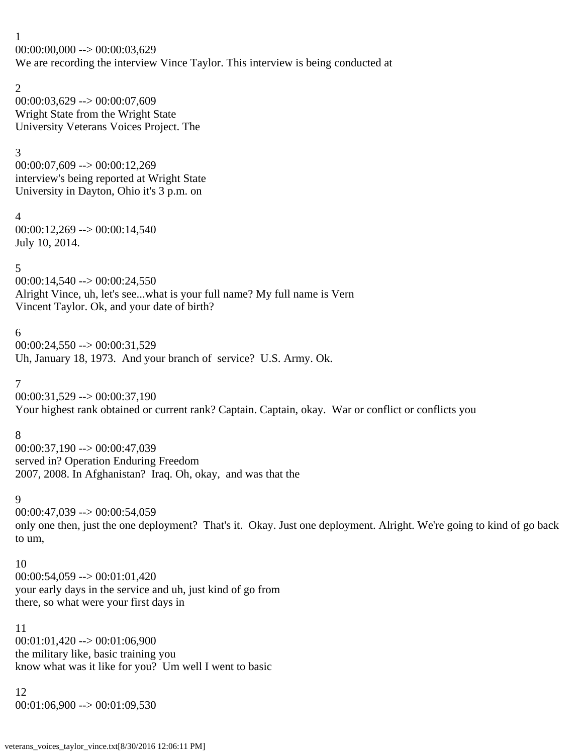1  $00:00:00,000 \rightarrow 00:00:03,629$ We are recording the interview Vince Taylor. This interview is being conducted at

2 00:00:03,629 --> 00:00:07,609 Wright State from the Wright State University Veterans Voices Project. The

3

00:00:07,609 --> 00:00:12,269 interview's being reported at Wright State University in Dayton, Ohio it's 3 p.m. on

4 00:00:12,269 --> 00:00:14,540 July 10, 2014.

5

00:00:14,540 --> 00:00:24,550 Alright Vince, uh, let's see...what is your full name? My full name is Vern Vincent Taylor. Ok, and your date of birth?

6

00:00:24,550 --> 00:00:31,529 Uh, January 18, 1973. And your branch of service? U.S. Army. Ok.

7

00:00:31,529 --> 00:00:37,190 Your highest rank obtained or current rank? Captain. Captain, okay. War or conflict or conflicts you

8

00:00:37,190 --> 00:00:47,039 served in? Operation Enduring Freedom 2007, 2008. In Afghanistan? Iraq. Oh, okay, and was that the

9

 $00:00:47,039 \rightarrow 00:00:54,059$ only one then, just the one deployment? That's it. Okay. Just one deployment. Alright. We're going to kind of go back to um,

10

 $00:00:54,059 \rightarrow 00:01:01,420$ your early days in the service and uh, just kind of go from there, so what were your first days in

11 00:01:01,420 --> 00:01:06,900 the military like, basic training you know what was it like for you? Um well I went to basic

12 00:01:06,900 --> 00:01:09,530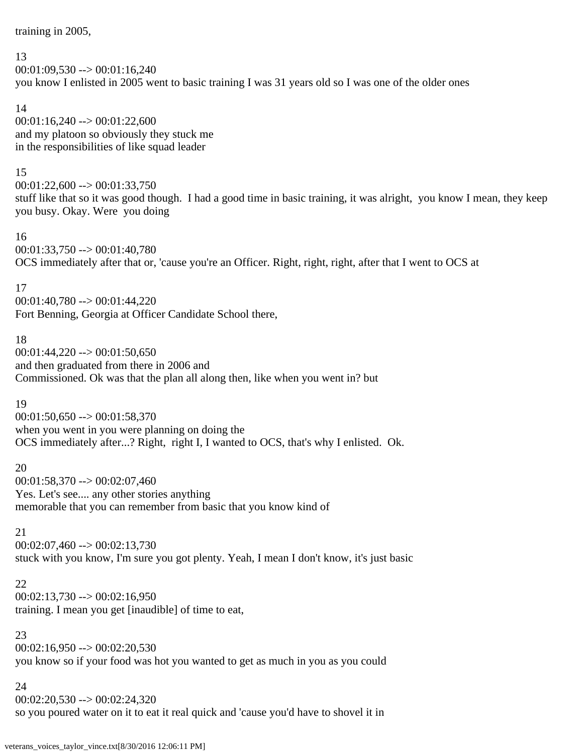training in 2005,

## 13

 $00:01:09,530 \rightarrow 00:01:16,240$ you know I enlisted in 2005 went to basic training I was 31 years old so I was one of the older ones

# 14

 $00:01:16,240 \rightarrow 00:01:22,600$ and my platoon so obviously they stuck me in the responsibilities of like squad leader

# 15

 $00:01:22,600 \rightarrow 00:01:33,750$ stuff like that so it was good though. I had a good time in basic training, it was alright, you know I mean, they keep you busy. Okay. Were you doing

# 16

00:01:33,750 --> 00:01:40,780 OCS immediately after that or, 'cause you're an Officer. Right, right, right, after that I went to OCS at

# 17

00:01:40,780 --> 00:01:44,220 Fort Benning, Georgia at Officer Candidate School there,

# 18

 $00:01:44,220 \rightarrow 00:01:50,650$ and then graduated from there in 2006 and Commissioned. Ok was that the plan all along then, like when you went in? but

# 19

 $00:01:50,650 \rightarrow 00:01:58,370$ when you went in you were planning on doing the OCS immediately after...? Right, right I, I wanted to OCS, that's why I enlisted. Ok.

# 20

00:01:58,370 --> 00:02:07,460 Yes. Let's see.... any other stories anything memorable that you can remember from basic that you know kind of

# 21

 $00:02:07,460 \rightarrow 00:02:13,730$ stuck with you know, I'm sure you got plenty. Yeah, I mean I don't know, it's just basic

# 22

 $00:02:13,730 \rightarrow 00:02:16,950$ training. I mean you get [inaudible] of time to eat,

# 23

 $00:02:16,950 \rightarrow 00:02:20,530$ you know so if your food was hot you wanted to get as much in you as you could

# 24

 $00:02:20,530 \rightarrow 00:02:24,320$ 

so you poured water on it to eat it real quick and 'cause you'd have to shovel it in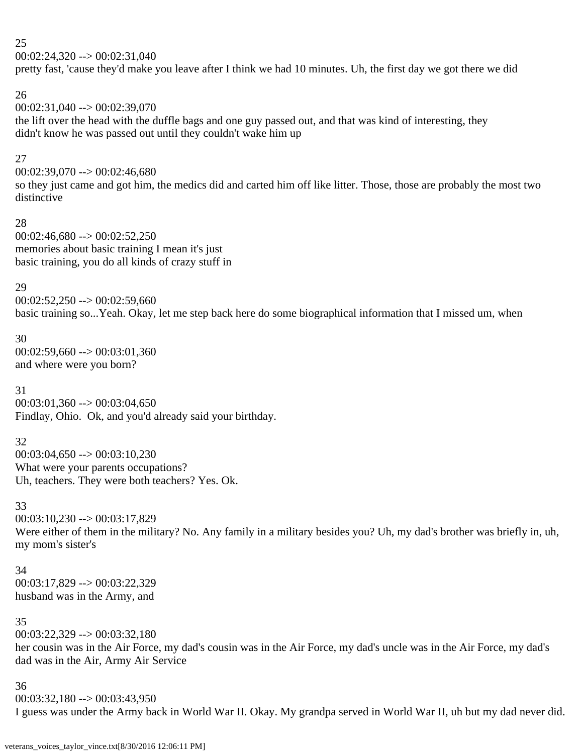$00:02:24,320 \rightarrow 00:02:31,040$ 

pretty fast, 'cause they'd make you leave after I think we had 10 minutes. Uh, the first day we got there we did

# 26

00:02:31,040 --> 00:02:39,070 the lift over the head with the duffle bags and one guy passed out, and that was kind of interesting, they didn't know he was passed out until they couldn't wake him up

# 27

00:02:39,070 --> 00:02:46,680

so they just came and got him, the medics did and carted him off like litter. Those, those are probably the most two distinctive

### 28

 $00:02:46,680 \rightarrow 00:02:52,250$ memories about basic training I mean it's just basic training, you do all kinds of crazy stuff in

# 29

 $00:02:52,250 \rightarrow 00:02:59,660$ basic training so...Yeah. Okay, let me step back here do some biographical information that I missed um, when

30  $00:02:59,660 \rightarrow 00:03:01,360$ and where were you born?

31  $00:03:01,360 \rightarrow 00:03:04,650$ Findlay, Ohio. Ok, and you'd already said your birthday.

32  $00:03:04,650 \rightarrow 00:03:10,230$ What were your parents occupations? Uh, teachers. They were both teachers? Yes. Ok.

## 33

00:03:10,230 --> 00:03:17,829 Were either of them in the military? No. Any family in a military besides you? Uh, my dad's brother was briefly in, uh, my mom's sister's

34 00:03:17,829 --> 00:03:22,329 husband was in the Army, and

## 35

 $00:03:22.329 \rightarrow 00:03:32.180$ her cousin was in the Air Force, my dad's cousin was in the Air Force, my dad's uncle was in the Air Force, my dad's dad was in the Air, Army Air Service

## 36

 $00:03:32,180 \rightarrow 00:03:43,950$ I guess was under the Army back in World War II. Okay. My grandpa served in World War II, uh but my dad never did.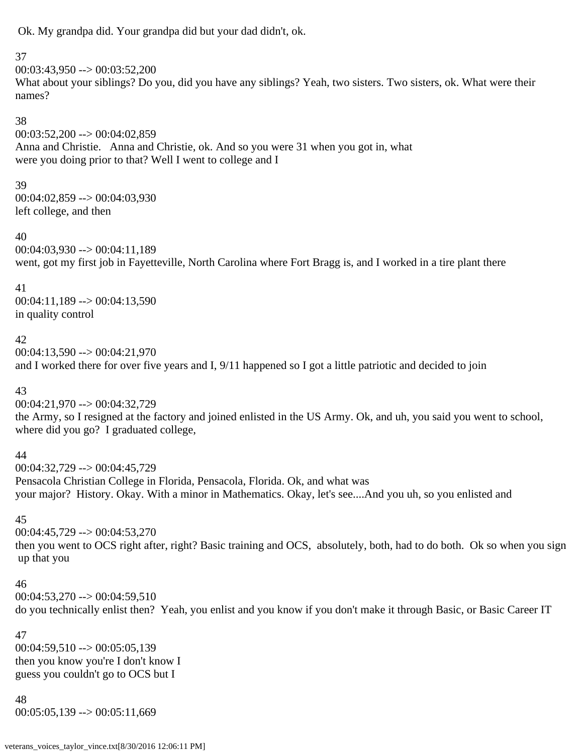Ok. My grandpa did. Your grandpa did but your dad didn't, ok.

# 37

 $00:03:43.950 \rightarrow 00:03:52.200$ What about your siblings? Do you, did you have any siblings? Yeah, two sisters. Two sisters, ok. What were their names?

## 38

 $00:03:52,200 \rightarrow 00:04:02,859$ Anna and Christie. Anna and Christie, ok. And so you were 31 when you got in, what were you doing prior to that? Well I went to college and I

# 39

00:04:02,859 --> 00:04:03,930 left college, and then

## 40

00:04:03,930 --> 00:04:11,189 went, got my first job in Fayetteville, North Carolina where Fort Bragg is, and I worked in a tire plant there

# 41

 $00:04:11,189 \rightarrow 00:04:13,590$ in quality control

# 42

 $00:04:13,590 \rightarrow 00:04:21,970$ and I worked there for over five years and I, 9/11 happened so I got a little patriotic and decided to join

# 43

00:04:21,970 --> 00:04:32,729 the Army, so I resigned at the factory and joined enlisted in the US Army. Ok, and uh, you said you went to school, where did you go? I graduated college,

# 44

00:04:32,729 --> 00:04:45,729 Pensacola Christian College in Florida, Pensacola, Florida. Ok, and what was your major? History. Okay. With a minor in Mathematics. Okay, let's see....And you uh, so you enlisted and

# 45

 $00:04:45,729 \rightarrow 00:04:53,270$ then you went to OCS right after, right? Basic training and OCS, absolutely, both, had to do both. Ok so when you sign up that you

# 46

 $00:04:53,270 \rightarrow 00:04:59,510$ do you technically enlist then? Yeah, you enlist and you know if you don't make it through Basic, or Basic Career IT

## 47

 $00:04:59,510 \rightarrow 00:05:05,139$ then you know you're I don't know I guess you couldn't go to OCS but I

# 48 00:05:05,139 --> 00:05:11,669

veterans\_voices\_taylor\_vince.txt[8/30/2016 12:06:11 PM]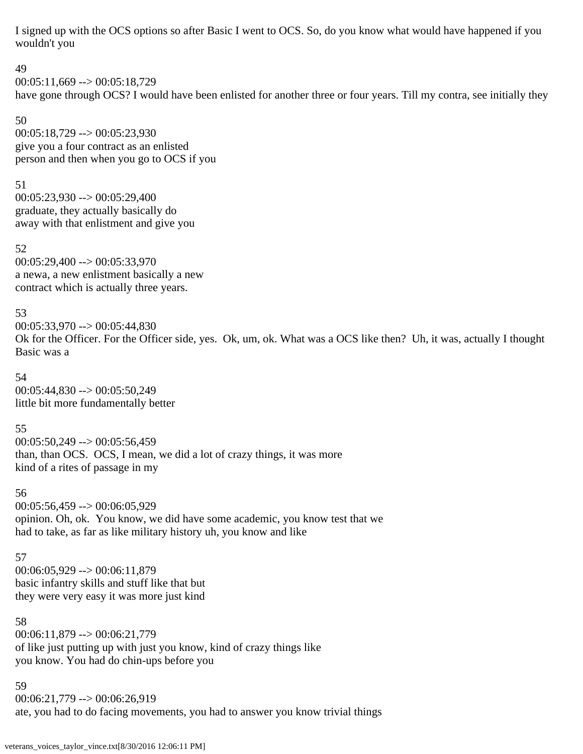I signed up with the OCS options so after Basic I went to OCS. So, do you know what would have happened if you wouldn't you

49  $00:05:11,669 \rightarrow 00:05:18,729$ have gone through OCS? I would have been enlisted for another three or four years. Till my contra, see initially they

50 00:05:18,729 --> 00:05:23,930 give you a four contract as an enlisted person and then when you go to OCS if you

51 00:05:23,930 --> 00:05:29,400 graduate, they actually basically do away with that enlistment and give you

52 00:05:29,400 --> 00:05:33,970 a newa, a new enlistment basically a new contract which is actually three years.

53 00:05:33,970 --> 00:05:44,830 Ok for the Officer. For the Officer side, yes. Ok, um, ok. What was a OCS like then? Uh, it was, actually I thought Basic was a

54 00:05:44,830 --> 00:05:50,249 little bit more fundamentally better

55  $00:05:50,249 \rightarrow 00:05:56,459$ than, than OCS. OCS, I mean, we did a lot of crazy things, it was more kind of a rites of passage in my

56 00:05:56,459 --> 00:06:05,929 opinion. Oh, ok. You know, we did have some academic, you know test that we had to take, as far as like military history uh, you know and like

57 00:06:05,929 --> 00:06:11,879 basic infantry skills and stuff like that but they were very easy it was more just kind

58 00:06:11,879 --> 00:06:21,779 of like just putting up with just you know, kind of crazy things like you know. You had do chin-ups before you

59  $00:06:21,779 \rightarrow 00:06:26,919$ ate, you had to do facing movements, you had to answer you know trivial things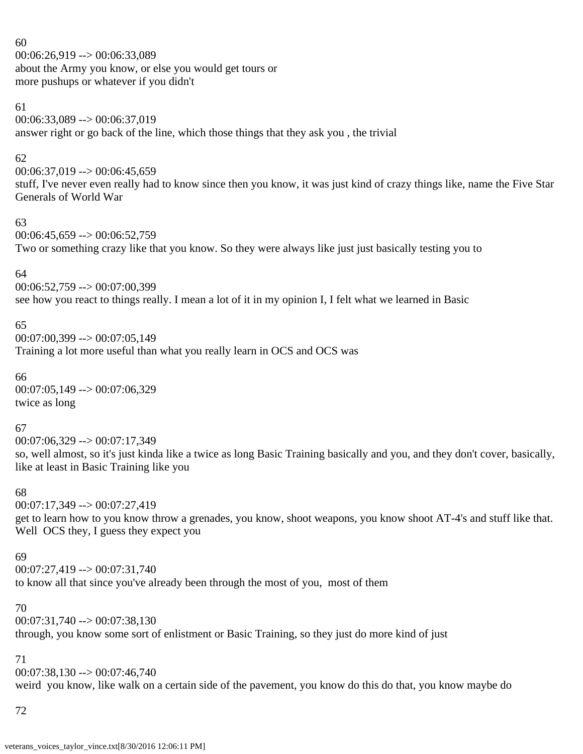60 00:06:26,919 --> 00:06:33,089 about the Army you know, or else you would get tours or more pushups or whatever if you didn't

### 61

00:06:33,089 --> 00:06:37,019 answer right or go back of the line, which those things that they ask you , the trivial

# 62

 $00:06:37,019 \rightarrow 00:06:45,659$ stuff, I've never even really had to know since then you know, it was just kind of crazy things like, name the Five Star Generals of World War

## 63

 $00:06:45,659 \rightarrow 00:06:52,759$ Two or something crazy like that you know. So they were always like just just basically testing you to

# 64

00:06:52,759 --> 00:07:00,399 see how you react to things really. I mean a lot of it in my opinion I, I felt what we learned in Basic

# 65

 $00:07:00,399 \rightarrow 00:07:05,149$ Training a lot more useful than what you really learn in OCS and OCS was

66 00:07:05,149 --> 00:07:06,329 twice as long

# 67

 $00:07:06,329 \rightarrow 00:07:17,349$ so, well almost, so it's just kinda like a twice as long Basic Training basically and you, and they don't cover, basically, like at least in Basic Training like you

## 68

00:07:17,349 --> 00:07:27,419

get to learn how to you know throw a grenades, you know, shoot weapons, you know shoot AT-4's and stuff like that. Well OCS they, I guess they expect you

## 69

00:07:27,419 --> 00:07:31,740 to know all that since you've already been through the most of you, most of them

## 70

 $00:07:31,740 \rightarrow 00:07:38,130$ through, you know some sort of enlistment or Basic Training, so they just do more kind of just

# 71

 $00:07:38,130 \rightarrow 00:07:46,740$ weird you know, like walk on a certain side of the pavement, you know do this do that, you know maybe do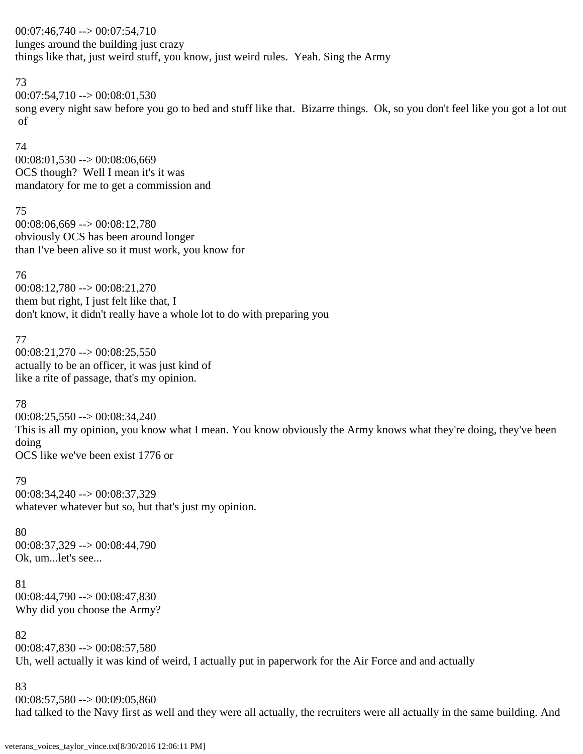00:07:46,740 --> 00:07:54,710 lunges around the building just crazy things like that, just weird stuff, you know, just weird rules. Yeah. Sing the Army

### 73

 $00:07:54,710 \rightarrow 00:08:01,530$ song every night saw before you go to bed and stuff like that. Bizarre things. Ok, so you don't feel like you got a lot out of

74 00:08:01,530 --> 00:08:06,669 OCS though? Well I mean it's it was mandatory for me to get a commission and

75 00:08:06,669 --> 00:08:12,780 obviously OCS has been around longer than I've been alive so it must work, you know for

## 76 00:08:12,780 --> 00:08:21,270 them but right, I just felt like that, I don't know, it didn't really have a whole lot to do with preparing you

77

 $00:08:21,270 \rightarrow 00:08:25,550$ actually to be an officer, it was just kind of like a rite of passage, that's my opinion.

# 78

 $00:08:25,550 \rightarrow 00:08:34,240$ This is all my opinion, you know what I mean. You know obviously the Army knows what they're doing, they've been doing OCS like we've been exist 1776 or

79

00:08:34,240 --> 00:08:37,329 whatever whatever but so, but that's just my opinion.

## 80

00:08:37,329 --> 00:08:44,790 Ok, um...let's see...

81 00:08:44,790 --> 00:08:47,830 Why did you choose the Army?

82

 $00:08:47,830 \rightarrow 00:08:57,580$ Uh, well actually it was kind of weird, I actually put in paperwork for the Air Force and and actually

83

 $00:08:57,580 \rightarrow 00:09:05,860$ had talked to the Navy first as well and they were all actually, the recruiters were all actually in the same building. And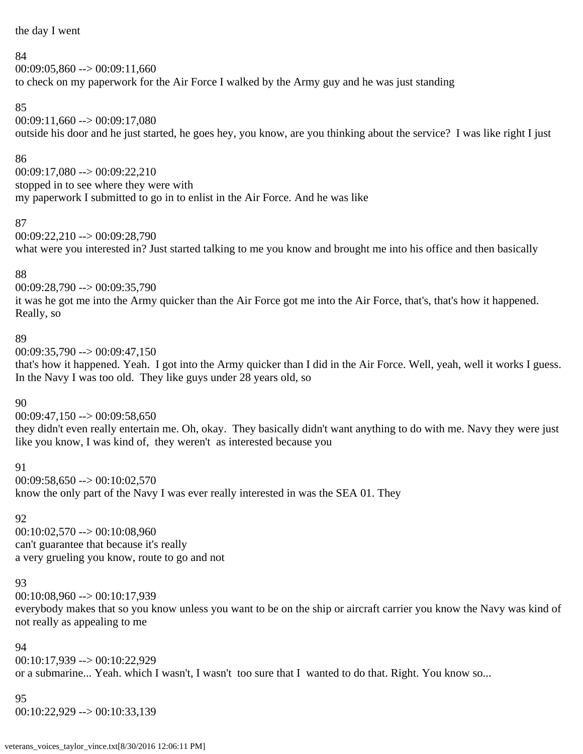the day I went

### 84

 $00:09:05,860 \rightarrow 00:09:11,660$ to check on my paperwork for the Air Force I walked by the Army guy and he was just standing

# 85

 $00:09:11,660 \rightarrow 00:09:17,080$ outside his door and he just started, he goes hey, you know, are you thinking about the service? I was like right I just

# 86

00:09:17,080 --> 00:09:22,210 stopped in to see where they were with my paperwork I submitted to go in to enlist in the Air Force. And he was like

# 87

00:09:22,210 --> 00:09:28,790 what were you interested in? Just started talking to me you know and brought me into his office and then basically

# 88

00:09:28,790 --> 00:09:35,790

it was he got me into the Army quicker than the Air Force got me into the Air Force, that's, that's how it happened. Really, so

# 89

 $00:09:35,790 \rightarrow 00:09:47,150$ that's how it happened. Yeah. I got into the Army quicker than I did in the Air Force. Well, yeah, well it works I guess. In the Navy I was too old. They like guys under 28 years old, so

# 90

 $00:09:47,150 \rightarrow 00:09:58,650$ they didn't even really entertain me. Oh, okay. They basically didn't want anything to do with me. Navy they were just like you know, I was kind of, they weren't as interested because you

# 91

 $00:09:58,650 \rightarrow 00:10:02,570$ know the only part of the Navy I was ever really interested in was the SEA 01. They

# 92

00:10:02,570 --> 00:10:08,960 can't guarantee that because it's really a very grueling you know, route to go and not

# 93

00:10:08,960 --> 00:10:17,939 everybody makes that so you know unless you want to be on the ship or aircraft carrier you know the Navy was kind of not really as appealing to me

## 94

00:10:17,939 --> 00:10:22,929 or a submarine... Yeah. which I wasn't, I wasn't too sure that I wanted to do that. Right. You know so...

## 95

00:10:22,929 --> 00:10:33,139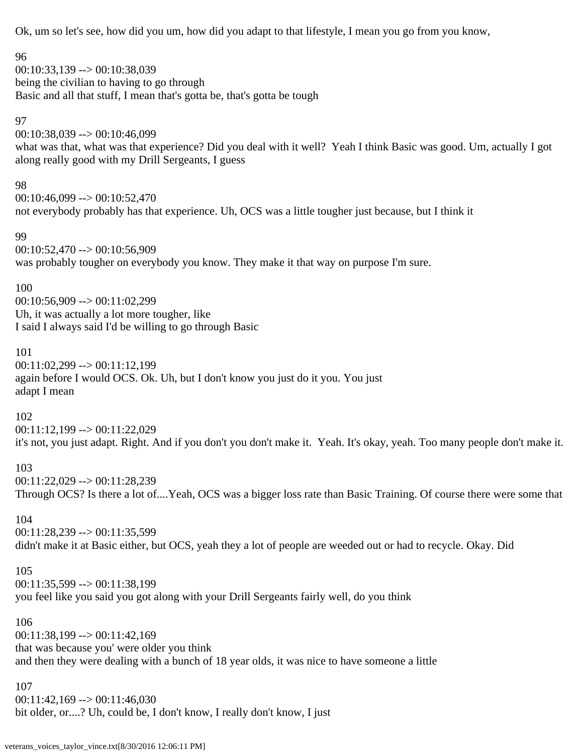Ok, um so let's see, how did you um, how did you adapt to that lifestyle, I mean you go from you know,

### 96

00:10:33,139 --> 00:10:38,039 being the civilian to having to go through Basic and all that stuff, I mean that's gotta be, that's gotta be tough

### 97

00:10:38,039 --> 00:10:46,099 what was that, what was that experience? Did you deal with it well? Yeah I think Basic was good. Um, actually I got along really good with my Drill Sergeants, I guess

## 98

00:10:46,099 --> 00:10:52,470 not everybody probably has that experience. Uh, OCS was a little tougher just because, but I think it

### 99

00:10:52,470 --> 00:10:56,909 was probably tougher on everybody you know. They make it that way on purpose I'm sure.

# 100

00:10:56,909 --> 00:11:02,299 Uh, it was actually a lot more tougher, like I said I always said I'd be willing to go through Basic

# 101

00:11:02,299 --> 00:11:12,199 again before I would OCS. Ok. Uh, but I don't know you just do it you. You just adapt I mean

# 102

00:11:12,199 --> 00:11:22,029 it's not, you just adapt. Right. And if you don't you don't make it. Yeah. It's okay, yeah. Too many people don't make it.

# 103

00:11:22,029 --> 00:11:28,239

Through OCS? Is there a lot of....Yeah, OCS was a bigger loss rate than Basic Training. Of course there were some that

# 104

00:11:28,239 --> 00:11:35,599 didn't make it at Basic either, but OCS, yeah they a lot of people are weeded out or had to recycle. Okay. Did

# 105

00:11:35,599 --> 00:11:38,199 you feel like you said you got along with your Drill Sergeants fairly well, do you think

## 106

00:11:38,199 --> 00:11:42,169 that was because you' were older you think and then they were dealing with a bunch of 18 year olds, it was nice to have someone a little

## 107

 $00:11:42,169 \rightarrow 00:11:46,030$ bit older, or....? Uh, could be, I don't know, I really don't know, I just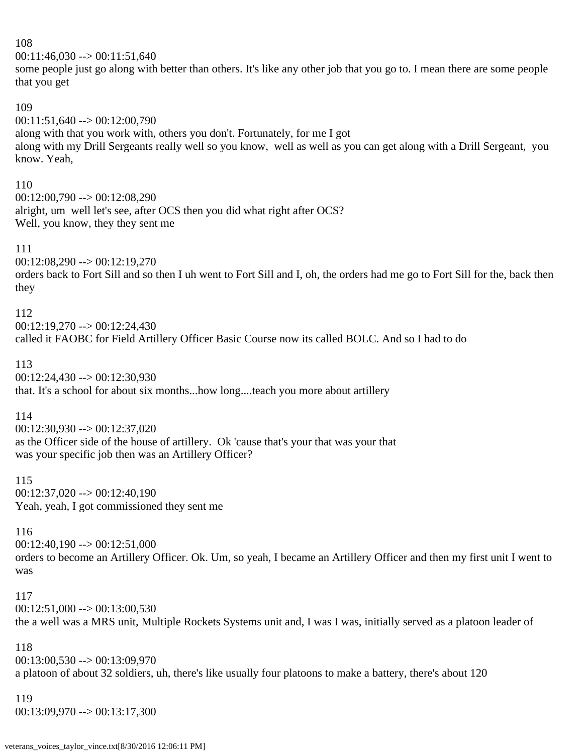$00:11:46,030 \rightarrow 00:11:51,640$ 

some people just go along with better than others. It's like any other job that you go to. I mean there are some people that you get

### 109

00:11:51,640 --> 00:12:00,790 along with that you work with, others you don't. Fortunately, for me I got along with my Drill Sergeants really well so you know, well as well as you can get along with a Drill Sergeant, you know. Yeah,

### 110

 $00:12:00,790 \rightarrow 00:12:08,290$ alright, um well let's see, after OCS then you did what right after OCS? Well, you know, they they sent me

### 111

00:12:08,290 --> 00:12:19,270 orders back to Fort Sill and so then I uh went to Fort Sill and I, oh, the orders had me go to Fort Sill for the, back then they

112

 $00:12:19,270 \rightarrow 00:12:24,430$ called it FAOBC for Field Artillery Officer Basic Course now its called BOLC. And so I had to do

113 00:12:24,430 --> 00:12:30,930 that. It's a school for about six months...how long....teach you more about artillery

## 114

00:12:30,930 --> 00:12:37,020 as the Officer side of the house of artillery. Ok 'cause that's your that was your that was your specific job then was an Artillery Officer?

115  $00:12:37,020 \rightarrow 00:12:40,190$ Yeah, yeah, I got commissioned they sent me

## 116

00:12:40,190 --> 00:12:51,000 orders to become an Artillery Officer. Ok. Um, so yeah, I became an Artillery Officer and then my first unit I went to was

## 117

 $00:12:51,000 \rightarrow 00:13:00.530$ the a well was a MRS unit, Multiple Rockets Systems unit and, I was I was, initially served as a platoon leader of

# 118

00:13:00,530 --> 00:13:09,970 a platoon of about 32 soldiers, uh, there's like usually four platoons to make a battery, there's about 120

## 119

00:13:09,970 --> 00:13:17,300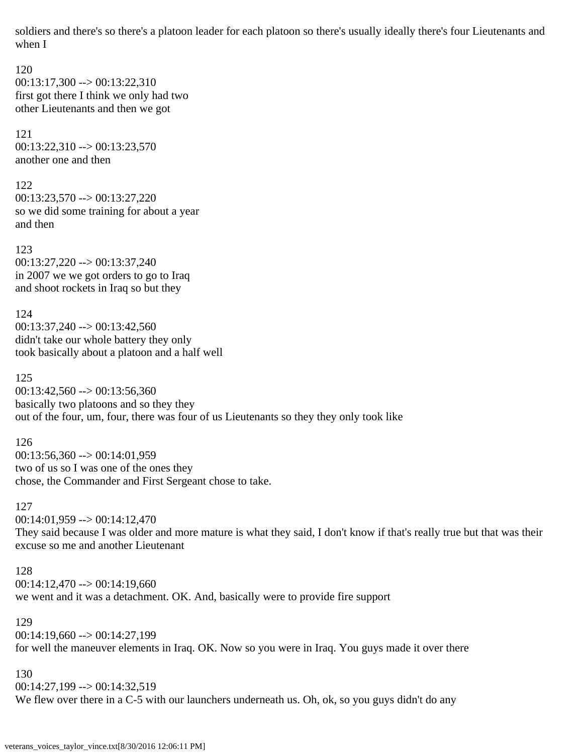soldiers and there's so there's a platoon leader for each platoon so there's usually ideally there's four Lieutenants and when I

120  $00:13:17,300 \rightarrow 00:13:22,310$ first got there I think we only had two other Lieutenants and then we got

121 00:13:22,310 --> 00:13:23,570 another one and then

122 00:13:23,570 --> 00:13:27,220 so we did some training for about a year and then

123 00:13:27,220 --> 00:13:37,240 in 2007 we we got orders to go to Iraq and shoot rockets in Iraq so but they

124  $00:13:37,240 \rightarrow 00:13:42,560$ didn't take our whole battery they only took basically about a platoon and a half well

125  $00:13:42,560 \rightarrow 00:13:56,360$ basically two platoons and so they they out of the four, um, four, there was four of us Lieutenants so they they only took like

126 00:13:56,360 --> 00:14:01,959 two of us so I was one of the ones they chose, the Commander and First Sergeant chose to take.

### 127

00:14:01,959 --> 00:14:12,470

They said because I was older and more mature is what they said, I don't know if that's really true but that was their excuse so me and another Lieutenant

### 128

 $00:14:12,470 \rightarrow 00:14:19,660$ 

we went and it was a detachment. OK. And, basically were to provide fire support

### 129

 $00:14:19,660 \rightarrow 00:14:27,199$ for well the maneuver elements in Iraq. OK. Now so you were in Iraq. You guys made it over there

130

00:14:27,199 --> 00:14:32,519 We flew over there in a C-5 with our launchers underneath us. Oh, ok, so you guys didn't do any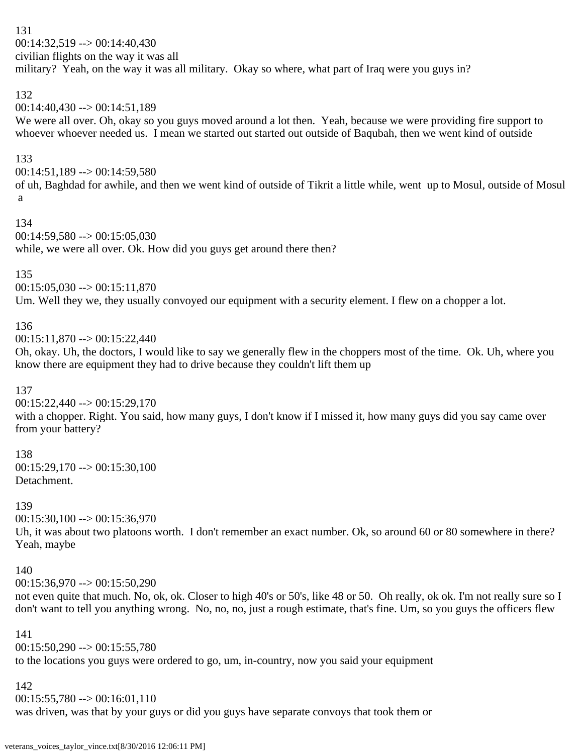131 00:14:32,519 --> 00:14:40,430 civilian flights on the way it was all military? Yeah, on the way it was all military. Okay so where, what part of Iraq were you guys in?

# 132

 $00:14:40.430 \rightarrow 00:14:51.189$ 

We were all over. Oh, okay so you guys moved around a lot then. Yeah, because we were providing fire support to whoever whoever needed us. I mean we started out started out outside of Baqubah, then we went kind of outside

# 133

00:14:51,189 --> 00:14:59,580

of uh, Baghdad for awhile, and then we went kind of outside of Tikrit a little while, went up to Mosul, outside of Mosul a

## 134

 $00:14:59,580 \rightarrow 00:15:05,030$ while, we were all over. Ok. How did you guys get around there then?

# 135

 $00:15:05,030 \rightarrow 00:15:11,870$ 

Um. Well they we, they usually convoyed our equipment with a security element. I flew on a chopper a lot.

# 136

 $00:15:11,870 \rightarrow 00:15:22,440$ 

Oh, okay. Uh, the doctors, I would like to say we generally flew in the choppers most of the time. Ok. Uh, where you know there are equipment they had to drive because they couldn't lift them up

## 137

00:15:22,440 --> 00:15:29,170

with a chopper. Right. You said, how many guys, I don't know if I missed it, how many guys did you say came over from your battery?

## 138

 $00:15:29,170 \rightarrow 00:15:30,100$ Detachment.

## 139

00:15:30,100 --> 00:15:36,970

Uh, it was about two platoons worth. I don't remember an exact number. Ok, so around 60 or 80 somewhere in there? Yeah, maybe

## 140

 $00:15:36,970 \rightarrow 00:15:50,290$ 

not even quite that much. No, ok, ok. Closer to high 40's or 50's, like 48 or 50. Oh really, ok ok. I'm not really sure so I don't want to tell you anything wrong. No, no, no, just a rough estimate, that's fine. Um, so you guys the officers flew

## 141

 $00:15:50,290 \rightarrow 00:15:55,780$ to the locations you guys were ordered to go, um, in-country, now you said your equipment

## 142

 $00:15:55,780 \rightarrow 00:16:01,110$ 

was driven, was that by your guys or did you guys have separate convoys that took them or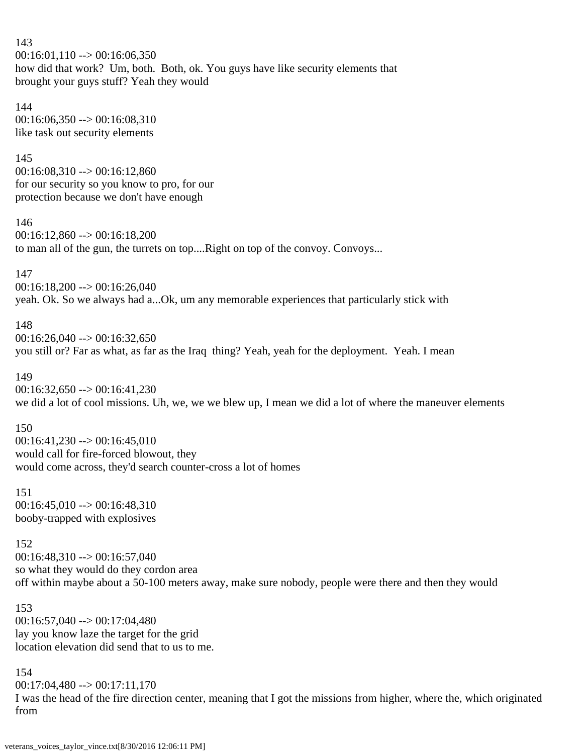143  $00:16:01,110 \rightarrow 00:16:06,350$ how did that work? Um, both. Both, ok. You guys have like security elements that brought your guys stuff? Yeah they would

144 00:16:06,350 --> 00:16:08,310 like task out security elements

### 145

 $00:16:08,310 \rightarrow 00:16:12,860$ for our security so you know to pro, for our protection because we don't have enough

#### 146

00:16:12,860 --> 00:16:18,200 to man all of the gun, the turrets on top....Right on top of the convoy. Convoys...

147

00:16:18,200 --> 00:16:26,040 yeah. Ok. So we always had a...Ok, um any memorable experiences that particularly stick with

## 148

 $00:16:26,040 \rightarrow 00:16:32,650$ you still or? Far as what, as far as the Iraq thing? Yeah, yeah for the deployment. Yeah. I mean

## 149

 $00:16:32,650 \rightarrow 00:16:41,230$ we did a lot of cool missions. Uh, we, we we blew up, I mean we did a lot of where the maneuver elements

## 150

 $00:16:41.230 \rightarrow 00:16:45.010$ would call for fire-forced blowout, they would come across, they'd search counter-cross a lot of homes

## 151  $00:16:45,010 \rightarrow 00:16:48,310$

booby-trapped with explosives

## 152

00:16:48,310 --> 00:16:57,040 so what they would do they cordon area off within maybe about a 50-100 meters away, make sure nobody, people were there and then they would

### 153 00:16:57,040 --> 00:17:04,480 lay you know laze the target for the grid location elevation did send that to us to me.

154  $00:17:04,480 \rightarrow 00:17:11,170$ I was the head of the fire direction center, meaning that I got the missions from higher, where the, which originated from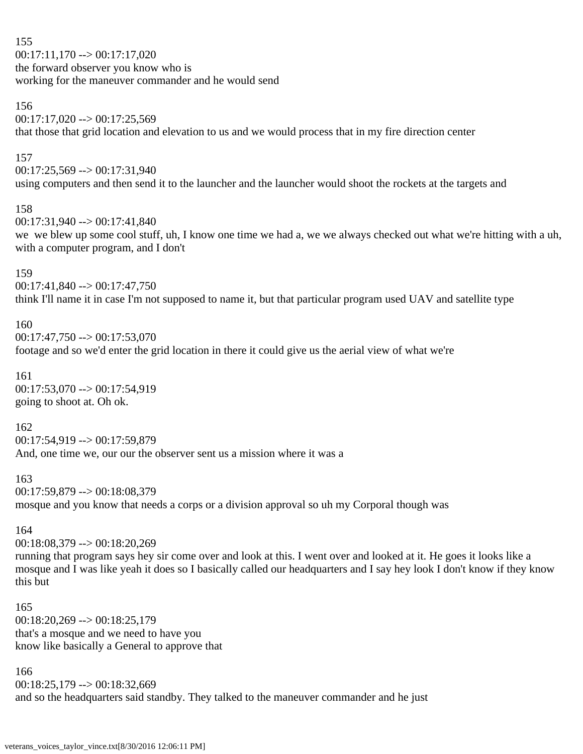155  $00:17:11,170 \rightarrow 00:17:17,020$ the forward observer you know who is working for the maneuver commander and he would send

### 156

 $00:17:17,020 \rightarrow 00:17:25,569$ 

that those that grid location and elevation to us and we would process that in my fire direction center

### 157

00:17:25,569 --> 00:17:31,940 using computers and then send it to the launcher and the launcher would shoot the rockets at the targets and

### 158

00:17:31,940 --> 00:17:41,840 we we blew up some cool stuff, uh, I know one time we had a, we we always checked out what we're hitting with a uh, with a computer program, and I don't

### 159

 $00:17:41,840 \rightarrow 00:17:47,750$ think I'll name it in case I'm not supposed to name it, but that particular program used UAV and satellite type

## 160

00:17:47,750 --> 00:17:53,070 footage and so we'd enter the grid location in there it could give us the aerial view of what we're

161 00:17:53,070 --> 00:17:54,919 going to shoot at. Oh ok.

## 162

00:17:54,919 --> 00:17:59,879 And, one time we, our our the observer sent us a mission where it was a

### 163

00:17:59,879 --> 00:18:08,379

mosque and you know that needs a corps or a division approval so uh my Corporal though was

## 164

00:18:08,379 --> 00:18:20,269

running that program says hey sir come over and look at this. I went over and looked at it. He goes it looks like a mosque and I was like yeah it does so I basically called our headquarters and I say hey look I don't know if they know this but

# 165 00:18:20,269 --> 00:18:25,179 that's a mosque and we need to have you know like basically a General to approve that

166 00:18:25,179 --> 00:18:32,669 and so the headquarters said standby. They talked to the maneuver commander and he just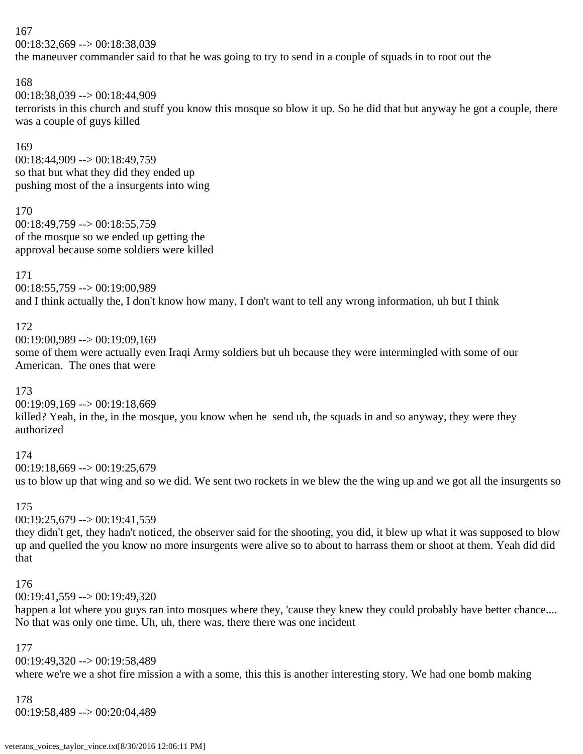00:18:32,669 --> 00:18:38,039

the maneuver commander said to that he was going to try to send in a couple of squads in to root out the

### 168

00:18:38,039 --> 00:18:44,909 terrorists in this church and stuff you know this mosque so blow it up. So he did that but anyway he got a couple, there was a couple of guys killed

### 169

00:18:44,909 --> 00:18:49,759 so that but what they did they ended up pushing most of the a insurgents into wing

## 170

00:18:49,759 --> 00:18:55,759 of the mosque so we ended up getting the approval because some soldiers were killed

171

00:18:55,759 --> 00:19:00,989 and I think actually the, I don't know how many, I don't want to tell any wrong information, uh but I think

# 172

00:19:00,989 --> 00:19:09,169

some of them were actually even Iraqi Army soldiers but uh because they were intermingled with some of our American. The ones that were

## 173

00:19:09,169 --> 00:19:18,669 killed? Yeah, in the, in the mosque, you know when he send uh, the squads in and so anyway, they were they authorized

# 174

00:19:18,669 --> 00:19:25,679 us to blow up that wing and so we did. We sent two rockets in we blew the the wing up and we got all the insurgents so

## 175

 $00:19:25,679 \rightarrow 00:19:41,559$ 

they didn't get, they hadn't noticed, the observer said for the shooting, you did, it blew up what it was supposed to blow up and quelled the you know no more insurgents were alive so to about to harrass them or shoot at them. Yeah did did that

## 176

00:19:41,559 --> 00:19:49,320

happen a lot where you guys ran into mosques where they, 'cause they knew they could probably have better chance.... No that was only one time. Uh, uh, there was, there there was one incident

## 177

00:19:49,320 --> 00:19:58,489

where we're we a shot fire mission a with a some, this this is another interesting story. We had one bomb making

## 178

00:19:58,489 --> 00:20:04,489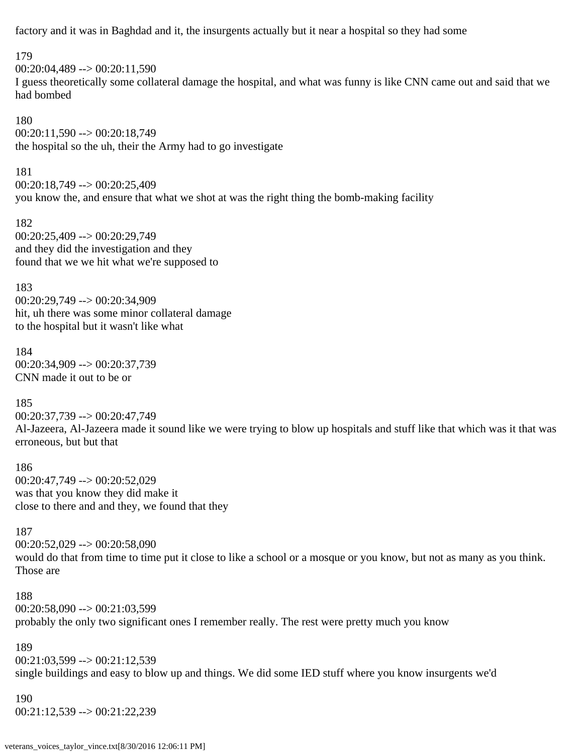factory and it was in Baghdad and it, the insurgents actually but it near a hospital so they had some

179

00:20:04,489 --> 00:20:11,590 I guess theoretically some collateral damage the hospital, and what was funny is like CNN came out and said that we had bombed

180  $00:20:11,590 \rightarrow 00:20:18,749$ the hospital so the uh, their the Army had to go investigate

181 00:20:18,749 --> 00:20:25,409 you know the, and ensure that what we shot at was the right thing the bomb-making facility

182 00:20:25,409 --> 00:20:29,749 and they did the investigation and they found that we we hit what we're supposed to

183 00:20:29,749 --> 00:20:34,909 hit, uh there was some minor collateral damage to the hospital but it wasn't like what

184 00:20:34,909 --> 00:20:37,739 CNN made it out to be or

185

00:20:37,739 --> 00:20:47,749 Al-Jazeera, Al-Jazeera made it sound like we were trying to blow up hospitals and stuff like that which was it that was erroneous, but but that

186 00:20:47,749 --> 00:20:52,029 was that you know they did make it close to there and and they, we found that they

187

00:20:52,029 --> 00:20:58,090 would do that from time to time put it close to like a school or a mosque or you know, but not as many as you think. Those are

188  $00:20:58,090 \rightarrow 00:21:03,599$ probably the only two significant ones I remember really. The rest were pretty much you know

189

00:21:03,599 --> 00:21:12,539 single buildings and easy to blow up and things. We did some IED stuff where you know insurgents we'd

190 00:21:12,539 --> 00:21:22,239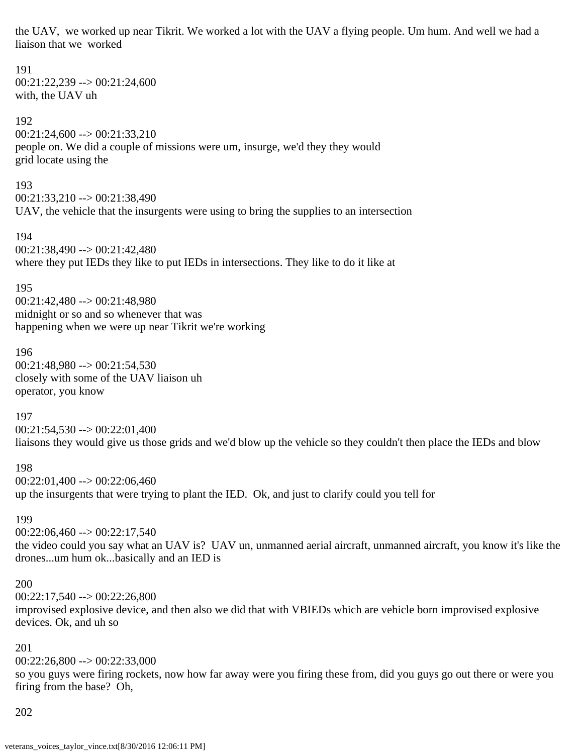the UAV, we worked up near Tikrit. We worked a lot with the UAV a flying people. Um hum. And well we had a liaison that we worked

# 00:21:22,239 --> 00:21:24,600 with, the UAV uh 192  $00:21:24,600 \rightarrow 00:21:33,210$ people on. We did a couple of missions were um, insurge, we'd they they would grid locate using the 193 00:21:33,210 --> 00:21:38,490 UAV, the vehicle that the insurgents were using to bring the supplies to an intersection 194 00:21:38,490 --> 00:21:42,480 where they put IEDs they like to put IEDs in intersections. They like to do it like at 195 00:21:42,480 --> 00:21:48,980 midnight or so and so whenever that was happening when we were up near Tikrit we're working

196 00:21:48,980 --> 00:21:54,530 closely with some of the UAV liaison uh operator, you know

197  $00:21:54,530 \rightarrow 00:22:01,400$ liaisons they would give us those grids and we'd blow up the vehicle so they couldn't then place the IEDs and blow

198  $00:22:01,400 \rightarrow 00:22:06,460$ up the insurgents that were trying to plant the IED. Ok, and just to clarify could you tell for

199  $00:22:06,460 \rightarrow 00:22:17,540$ the video could you say what an UAV is? UAV un, unmanned aerial aircraft, unmanned aircraft, you know it's like the drones...um hum ok...basically and an IED is

#### 200

191

 $00:22:17,540 \rightarrow 00:22:26,800$ improvised explosive device, and then also we did that with VBIEDs which are vehicle born improvised explosive devices. Ok, and uh so

201

 $00:22:26,800 \rightarrow 00:22:33,000$ 

so you guys were firing rockets, now how far away were you firing these from, did you guys go out there or were you firing from the base? Oh,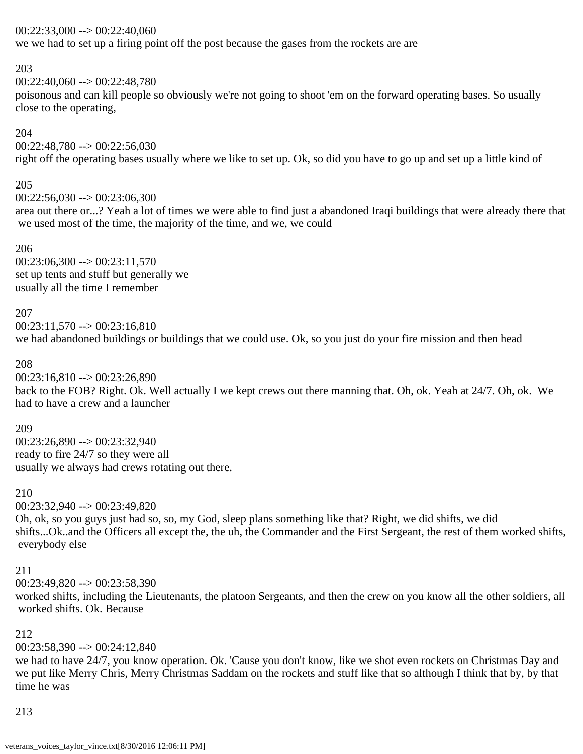### $00:22:33,000 \rightarrow 00:22:40,060$

we we had to set up a firing point off the post because the gases from the rockets are are

### 203

 $00:22:40,060 \rightarrow 00:22:48,780$ 

poisonous and can kill people so obviously we're not going to shoot 'em on the forward operating bases. So usually close to the operating,

### 204

00:22:48,780 --> 00:22:56,030

right off the operating bases usually where we like to set up. Ok, so did you have to go up and set up a little kind of

## 205

 $00:22:56,030 \rightarrow 00:23:06,300$ area out there or...? Yeah a lot of times we were able to find just a abandoned Iraqi buildings that were already there that we used most of the time, the majority of the time, and we, we could

### 206

 $00:23:06,300 \rightarrow 00:23:11,570$ set up tents and stuff but generally we usually all the time I remember

### 207

 $00:23:11.570 \rightarrow 00:23:16.810$ we had abandoned buildings or buildings that we could use. Ok, so you just do your fire mission and then head

### 208

 $00:23:16,810 \rightarrow 00:23:26,890$ back to the FOB? Right. Ok. Well actually I we kept crews out there manning that. Oh, ok. Yeah at 24/7. Oh, ok. We had to have a crew and a launcher

## 209

00:23:26,890 --> 00:23:32,940 ready to fire 24/7 so they were all usually we always had crews rotating out there.

### 210

00:23:32,940 --> 00:23:49,820

Oh, ok, so you guys just had so, so, my God, sleep plans something like that? Right, we did shifts, we did shifts...Ok..and the Officers all except the, the uh, the Commander and the First Sergeant, the rest of them worked shifts, everybody else

### 211

 $00:23:49,820 \rightarrow 00:23:58,390$ 

worked shifts, including the Lieutenants, the platoon Sergeants, and then the crew on you know all the other soldiers, all worked shifts. Ok. Because

## 212

 $00:23:58,390 \rightarrow 00:24:12,840$ 

we had to have 24/7, you know operation. Ok. 'Cause you don't know, like we shot even rockets on Christmas Day and we put like Merry Chris, Merry Christmas Saddam on the rockets and stuff like that so although I think that by, by that time he was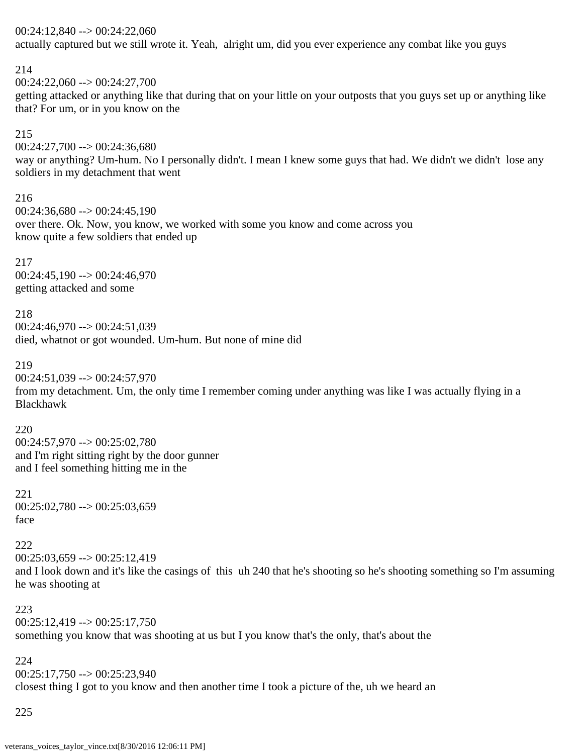### 00:24:12,840 --> 00:24:22,060

actually captured but we still wrote it. Yeah, alright um, did you ever experience any combat like you guys

### 214

00:24:22,060 --> 00:24:27,700

getting attacked or anything like that during that on your little on your outposts that you guys set up or anything like that? For um, or in you know on the

## 215

00:24:27,700 --> 00:24:36,680

way or anything? Um-hum. No I personally didn't. I mean I knew some guys that had. We didn't we didn't lose any soldiers in my detachment that went

## 216

 $00:24:36,680 \rightarrow 00:24:45,190$ over there. Ok. Now, you know, we worked with some you know and come across you know quite a few soldiers that ended up

217  $00:24:45,190 \rightarrow 00:24:46,970$ getting attacked and some

218 00:24:46,970 --> 00:24:51,039 died, whatnot or got wounded. Um-hum. But none of mine did

## 219

00:24:51,039 --> 00:24:57,970

from my detachment. Um, the only time I remember coming under anything was like I was actually flying in a Blackhawk

220

00:24:57,970 --> 00:25:02,780 and I'm right sitting right by the door gunner and I feel something hitting me in the

221  $00:25:02,780 \rightarrow 00:25:03,659$ face

222  $00:25:03,659 \rightarrow 00:25:12,419$ and I look down and it's like the casings of this uh 240 that he's shooting so he's shooting something so I'm assuming he was shooting at

223  $00:25:12,419 \rightarrow 00:25:17,750$ something you know that was shooting at us but I you know that's the only, that's about the

# 224  $00:25:17,750 \rightarrow 00:25:23,940$ closest thing I got to you know and then another time I took a picture of the, uh we heard an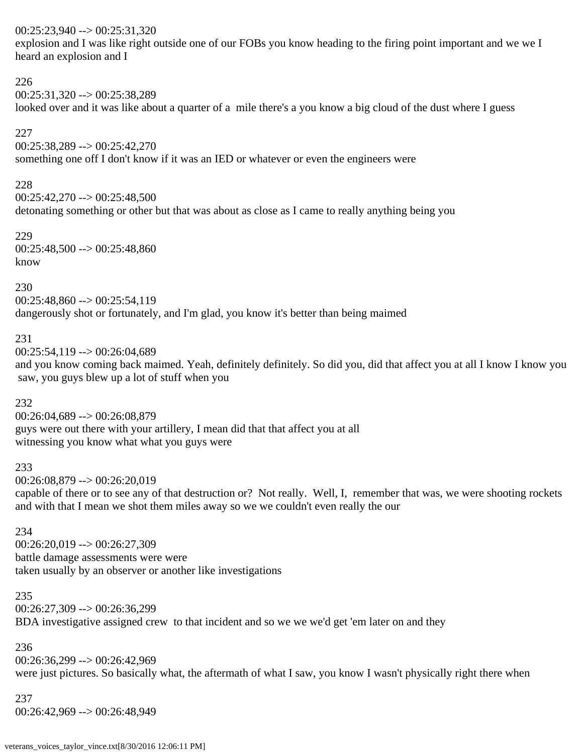## 00:25:23,940 --> 00:25:31,320

explosion and I was like right outside one of our FOBs you know heading to the firing point important and we we I heard an explosion and I

### 226

00:25:31,320 --> 00:25:38,289

looked over and it was like about a quarter of a mile there's a you know a big cloud of the dust where I guess

## 227

00:25:38,289 --> 00:25:42,270 something one off I don't know if it was an IED or whatever or even the engineers were

## 228

 $00:25:42,270 \rightarrow 00:25:48,500$ 

detonating something or other but that was about as close as I came to really anything being you

229  $00:25:48,500 \rightarrow 00:25:48,860$ know

230

 $00:25:48,860 \rightarrow 00:25:54,119$ dangerously shot or fortunately, and I'm glad, you know it's better than being maimed

## 231

00:25:54,119 --> 00:26:04,689

and you know coming back maimed. Yeah, definitely definitely. So did you, did that affect you at all I know I know you saw, you guys blew up a lot of stuff when you

# 232

00:26:04,689 --> 00:26:08,879 guys were out there with your artillery, I mean did that that affect you at all witnessing you know what what you guys were

## 233

00:26:08,879 --> 00:26:20,019

capable of there or to see any of that destruction or? Not really. Well, I, remember that was, we were shooting rockets and with that I mean we shot them miles away so we we couldn't even really the our

### 234

00:26:20,019 --> 00:26:27,309 battle damage assessments were were taken usually by an observer or another like investigations

### 235

00:26:27,309 --> 00:26:36,299 BDA investigative assigned crew to that incident and so we we we'd get 'em later on and they

## 236

00:26:36,299 --> 00:26:42,969 were just pictures. So basically what, the aftermath of what I saw, you know I wasn't physically right there when

237 00:26:42,969 --> 00:26:48,949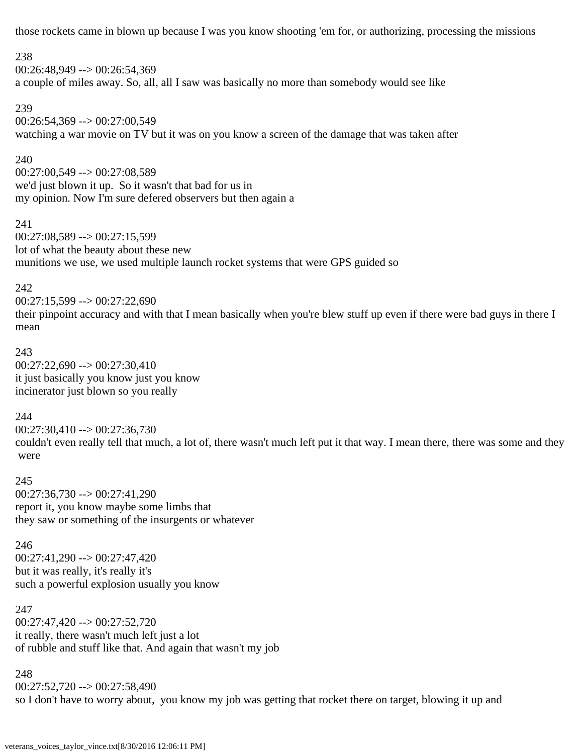those rockets came in blown up because I was you know shooting 'em for, or authorizing, processing the missions

### 238

00:26:48,949 --> 00:26:54,369 a couple of miles away. So, all, all I saw was basically no more than somebody would see like

### 239

00:26:54,369 --> 00:27:00,549 watching a war movie on TV but it was on you know a screen of the damage that was taken after

## 240

00:27:00,549 --> 00:27:08,589 we'd just blown it up. So it wasn't that bad for us in my opinion. Now I'm sure defered observers but then again a

### 241

00:27:08,589 --> 00:27:15,599 lot of what the beauty about these new munitions we use, we used multiple launch rocket systems that were GPS guided so

## 242

 $00:27:15,599 \rightarrow 00:27:22,690$ their pinpoint accuracy and with that I mean basically when you're blew stuff up even if there were bad guys in there I mean

### 243

00:27:22,690 --> 00:27:30,410 it just basically you know just you know incinerator just blown so you really

## 244

00:27:30,410 --> 00:27:36,730 couldn't even really tell that much, a lot of, there wasn't much left put it that way. I mean there, there was some and they were

245 00:27:36,730 --> 00:27:41,290 report it, you know maybe some limbs that they saw or something of the insurgents or whatever

246 00:27:41,290 --> 00:27:47,420 but it was really, it's really it's such a powerful explosion usually you know

247 00:27:47,420 --> 00:27:52,720 it really, there wasn't much left just a lot of rubble and stuff like that. And again that wasn't my job

248 00:27:52,720 --> 00:27:58,490 so I don't have to worry about, you know my job was getting that rocket there on target, blowing it up and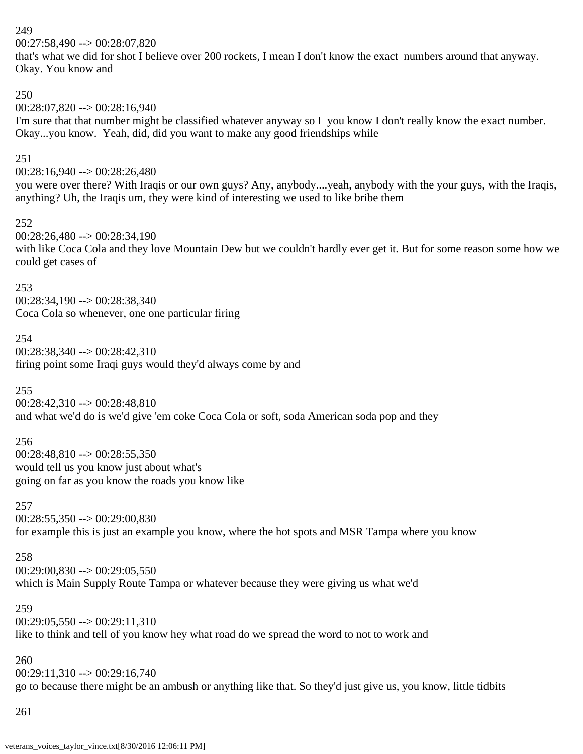00:27:58,490 --> 00:28:07,820

that's what we did for shot I believe over 200 rockets, I mean I don't know the exact numbers around that anyway. Okay. You know and

# 250

 $00:28:07.820 \rightarrow 00:28:16.940$ 

I'm sure that that number might be classified whatever anyway so I you know I don't really know the exact number. Okay...you know. Yeah, did, did you want to make any good friendships while

# 251

 $00:28:16,940 \rightarrow 00:28:26,480$ 

you were over there? With Iraqis or our own guys? Any, anybody....yeah, anybody with the your guys, with the Iraqis, anything? Uh, the Iraqis um, they were kind of interesting we used to like bribe them

### 252

00:28:26,480 --> 00:28:34,190 with like Coca Cola and they love Mountain Dew but we couldn't hardly ever get it. But for some reason some how we could get cases of

### 253

00:28:34,190 --> 00:28:38,340 Coca Cola so whenever, one one particular firing

254 00:28:38,340 --> 00:28:42,310 firing point some Iraqi guys would they'd always come by and

## 255

00:28:42,310 --> 00:28:48,810 and what we'd do is we'd give 'em coke Coca Cola or soft, soda American soda pop and they

## 256

00:28:48,810 --> 00:28:55,350 would tell us you know just about what's going on far as you know the roads you know like

### 257

 $00:28:55,350 \rightarrow 00:29:00,830$ for example this is just an example you know, where the hot spots and MSR Tampa where you know

## 258

 $00:29:00,830 \rightarrow 00:29:05,550$ which is Main Supply Route Tampa or whatever because they were giving us what we'd

### 259

 $00:29:05,550 \rightarrow 00:29:11,310$ like to think and tell of you know hey what road do we spread the word to not to work and

# 260

00:29:11,310 --> 00:29:16,740 go to because there might be an ambush or anything like that. So they'd just give us, you know, little tidbits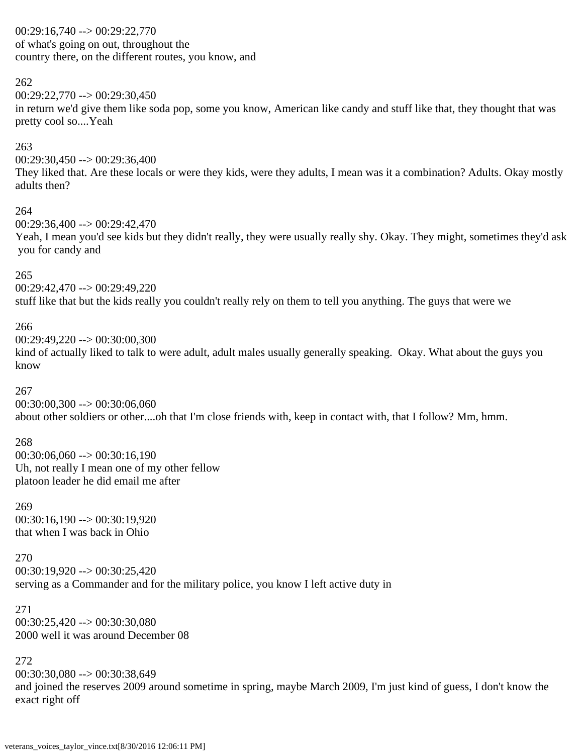00:29:16,740 --> 00:29:22,770 of what's going on out, throughout the country there, on the different routes, you know, and

### 262

 $00:29:22.770 \rightarrow 00:29:30.450$ 

in return we'd give them like soda pop, some you know, American like candy and stuff like that, they thought that was pretty cool so....Yeah

## 263

 $00:29:30,450 \rightarrow 00:29:36,400$ 

They liked that. Are these locals or were they kids, were they adults, I mean was it a combination? Adults. Okay mostly adults then?

#### 264

00:29:36,400 --> 00:29:42,470

Yeah, I mean you'd see kids but they didn't really, they were usually really shy. Okay. They might, sometimes they'd ask you for candy and

### 265

00:29:42,470 --> 00:29:49,220 stuff like that but the kids really you couldn't really rely on them to tell you anything. The guys that were we

### 266

00:29:49,220 --> 00:30:00,300

kind of actually liked to talk to were adult, adult males usually generally speaking. Okay. What about the guys you know

### 267

 $00:30:00.300 \rightarrow 00:30:06,060$ about other soldiers or other....oh that I'm close friends with, keep in contact with, that I follow? Mm, hmm.

### 268

 $00:30:06,060 \rightarrow 00:30:16,190$ Uh, not really I mean one of my other fellow platoon leader he did email me after

269  $00:30:16,190 \rightarrow 00:30:19.920$ that when I was back in Ohio

270 00:30:19,920 --> 00:30:25,420 serving as a Commander and for the military police, you know I left active duty in

271  $00:30:25.420 \rightarrow 00:30:30.080$ 2000 well it was around December 08

## 272

00:30:30,080 --> 00:30:38,649 and joined the reserves 2009 around sometime in spring, maybe March 2009, I'm just kind of guess, I don't know the exact right off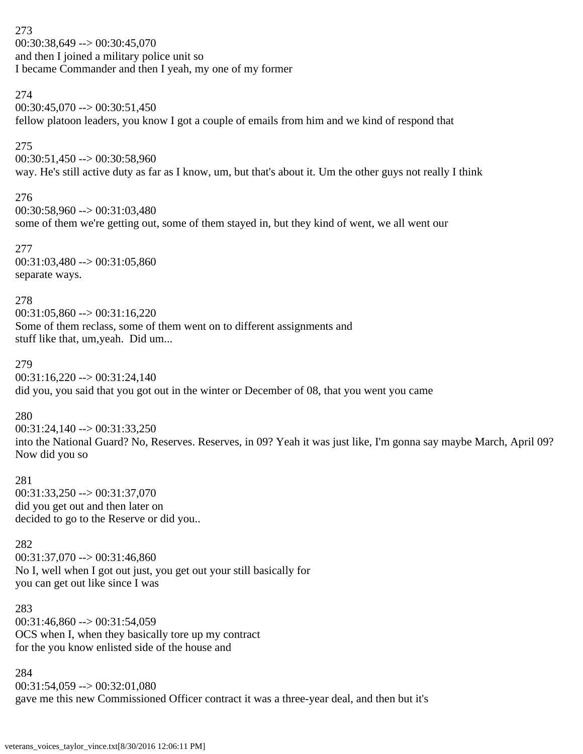273 00:30:38,649 --> 00:30:45,070 and then I joined a military police unit so I became Commander and then I yeah, my one of my former

### 274

 $00:30:45,070 \rightarrow 00:30:51,450$ fellow platoon leaders, you know I got a couple of emails from him and we kind of respond that

## 275

00:30:51,450 --> 00:30:58,960 way. He's still active duty as far as I know, um, but that's about it. Um the other guys not really I think

# 276

00:30:58,960 --> 00:31:03,480 some of them we're getting out, some of them stayed in, but they kind of went, we all went our

277 00:31:03,480 --> 00:31:05,860 separate ways.

## 278

 $00:31:05,860 \rightarrow 00:31:16,220$ Some of them reclass, some of them went on to different assignments and stuff like that, um,yeah. Did um...

### 279

 $00:31:16,220 \rightarrow 00:31:24,140$ did you, you said that you got out in the winter or December of 08, that you went you came

## 280

00:31:24,140 --> 00:31:33,250 into the National Guard? No, Reserves. Reserves, in 09? Yeah it was just like, I'm gonna say maybe March, April 09? Now did you so

## 281

 $00:31:33.250 \rightarrow 00:31:37.070$ did you get out and then later on decided to go to the Reserve or did you..

## 282

 $00:31:37.070 \rightarrow 00:31:46.860$ No I, well when I got out just, you get out your still basically for you can get out like since I was

283 00:31:46,860 --> 00:31:54,059 OCS when I, when they basically tore up my contract for the you know enlisted side of the house and

284  $00:31:54,059 \rightarrow 00:32:01,080$ gave me this new Commissioned Officer contract it was a three-year deal, and then but it's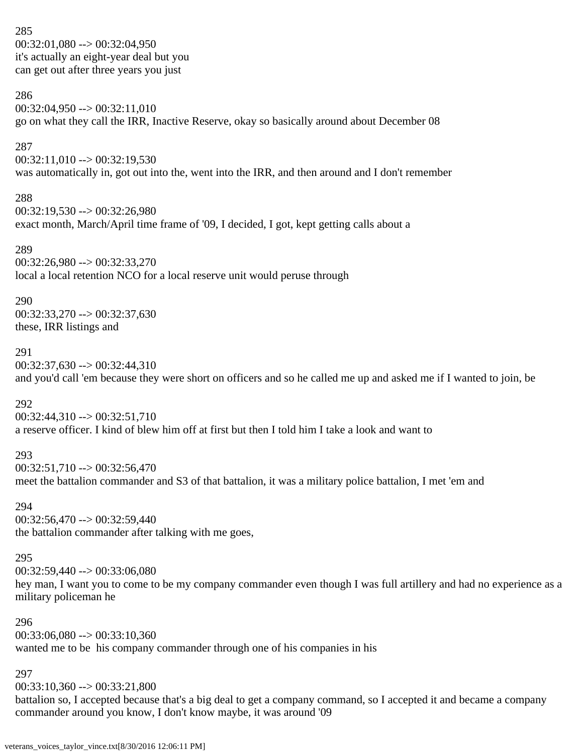285  $00:32:01,080 \rightarrow 00:32:04,950$ it's actually an eight-year deal but you can get out after three years you just

### 286

 $00:32:04,950 \rightarrow 00:32:11,010$ go on what they call the IRR, Inactive Reserve, okay so basically around about December 08

### 287

 $00:32:11,010 \rightarrow 00:32:19,530$ was automatically in, got out into the, went into the IRR, and then around and I don't remember

### 288

 $00:32:19,530 \rightarrow 00:32:26,980$ exact month, March/April time frame of '09, I decided, I got, kept getting calls about a

### 289

00:32:26,980 --> 00:32:33,270 local a local retention NCO for a local reserve unit would peruse through

### 290

00:32:33,270 --> 00:32:37,630 these, IRR listings and

### 291

00:32:37,630 --> 00:32:44,310

and you'd call 'em because they were short on officers and so he called me up and asked me if I wanted to join, be

## 292

 $00:32:44,310 \rightarrow 00:32:51,710$ a reserve officer. I kind of blew him off at first but then I told him I take a look and want to

# 293

 $00:32:51,710 \rightarrow 00:32:56,470$ meet the battalion commander and S3 of that battalion, it was a military police battalion, I met 'em and

294

 $00:32:56.470 \rightarrow 00:32:59.440$ the battalion commander after talking with me goes,

# 295

00:32:59,440 --> 00:33:06,080

hey man, I want you to come to be my company commander even though I was full artillery and had no experience as a military policeman he

### 296

 $00:33:06.080 \rightarrow 00:33:10.360$ wanted me to be his company commander through one of his companies in his

## 297

00:33:10,360 --> 00:33:21,800

battalion so, I accepted because that's a big deal to get a company command, so I accepted it and became a company commander around you know, I don't know maybe, it was around '09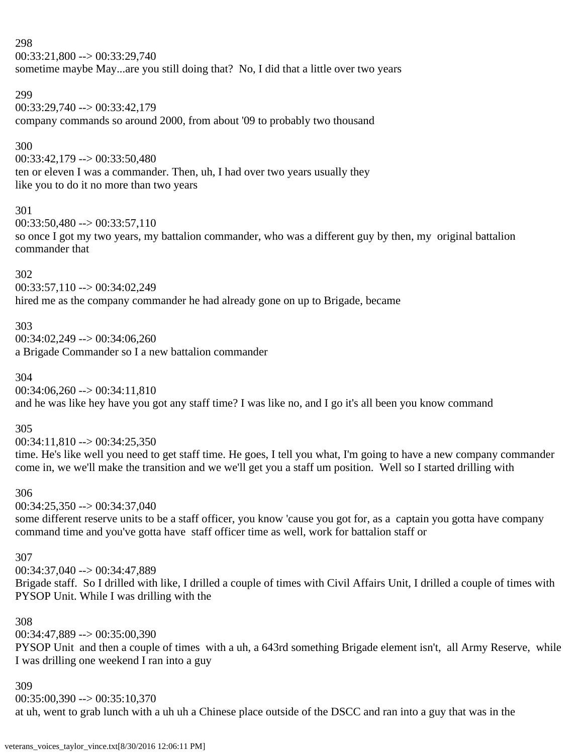$00:33:21,800 \rightarrow 00:33:29,740$ sometime maybe May...are you still doing that? No, I did that a little over two years

### 299

00:33:29,740 --> 00:33:42,179 company commands so around 2000, from about '09 to probably two thousand

### 300

00:33:42,179 --> 00:33:50,480

ten or eleven I was a commander. Then, uh, I had over two years usually they like you to do it no more than two years

### 301

 $00:33:50,480 \rightarrow 00:33:57,110$ 

so once I got my two years, my battalion commander, who was a different guy by then, my original battalion commander that

## 302

00:33:57,110 --> 00:34:02,249 hired me as the company commander he had already gone on up to Brigade, became

### 303

 $00:34:02,249 \rightarrow 00:34:06,260$ a Brigade Commander so I a new battalion commander

## 304

00:34:06,260 --> 00:34:11,810 and he was like hey have you got any staff time? I was like no, and I go it's all been you know command

305

 $00:34:11,810 \rightarrow 00:34:25,350$ 

time. He's like well you need to get staff time. He goes, I tell you what, I'm going to have a new company commander come in, we we'll make the transition and we we'll get you a staff um position. Well so I started drilling with

## 306

 $00:34:25,350 \rightarrow 00:34:37,040$ 

some different reserve units to be a staff officer, you know 'cause you got for, as a captain you gotta have company command time and you've gotta have staff officer time as well, work for battalion staff or

## 307

00:34:37,040 --> 00:34:47,889 Brigade staff. So I drilled with like, I drilled a couple of times with Civil Affairs Unit, I drilled a couple of times with PYSOP Unit. While I was drilling with the

### 308

00:34:47,889 --> 00:35:00,390

PYSOP Unit and then a couple of times with a uh, a 643rd something Brigade element isn't, all Army Reserve, while I was drilling one weekend I ran into a guy

### 309

 $00:35:00,390 \rightarrow 00:35:10,370$ 

at uh, went to grab lunch with a uh uh a Chinese place outside of the DSCC and ran into a guy that was in the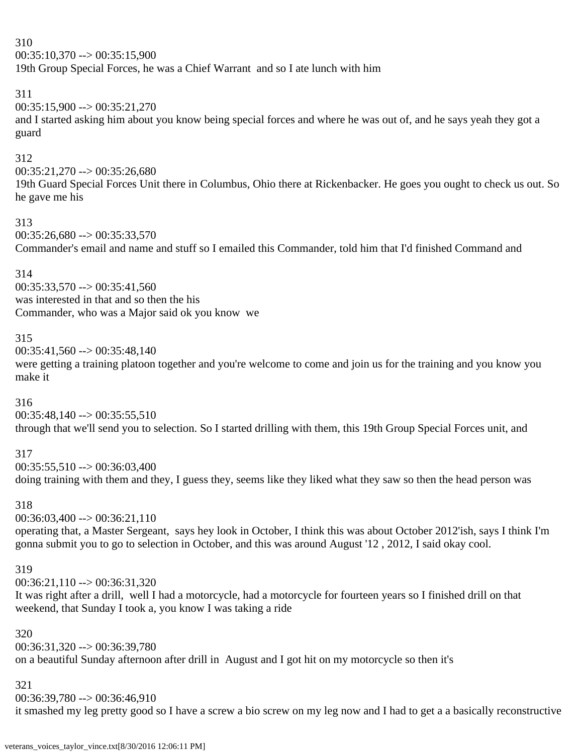$00:35:10,370 \rightarrow 00:35:15,900$ 

19th Group Special Forces, he was a Chief Warrant and so I ate lunch with him

# 311

 $00:35:15,900 \rightarrow 00:35:21,270$ 

and I started asking him about you know being special forces and where he was out of, and he says yeah they got a guard

# 312

 $00:35:21,270 \rightarrow 00:35:26,680$ 

19th Guard Special Forces Unit there in Columbus, Ohio there at Rickenbacker. He goes you ought to check us out. So he gave me his

# 313

 $00:35:26,680 \rightarrow 00:35:33,570$ Commander's email and name and stuff so I emailed this Commander, told him that I'd finished Command and

# 314

 $00:35:33,570 \rightarrow 00:35:41,560$ was interested in that and so then the his Commander, who was a Major said ok you know we

# 315

 $00:35:41,560 \rightarrow 00:35:48,140$ 

were getting a training platoon together and you're welcome to come and join us for the training and you know you make it

# 316

 $00:35:48,140 \rightarrow 00:35:55,510$ through that we'll send you to selection. So I started drilling with them, this 19th Group Special Forces unit, and

# 317

 $00:35:55,510 \rightarrow 00:36:03,400$ doing training with them and they, I guess they, seems like they liked what they saw so then the head person was

# 318

 $00:36:03,400 \rightarrow 00:36:21,110$ 

operating that, a Master Sergeant, says hey look in October, I think this was about October 2012'ish, says I think I'm gonna submit you to go to selection in October, and this was around August '12 , 2012, I said okay cool.

# 319

 $00:36:21.110 \rightarrow 00:36:31.320$ 

It was right after a drill, well I had a motorcycle, had a motorcycle for fourteen years so I finished drill on that weekend, that Sunday I took a, you know I was taking a ride

# 320

00:36:31,320 --> 00:36:39,780 on a beautiful Sunday afternoon after drill in August and I got hit on my motorcycle so then it's

# 321

00:36:39,780 --> 00:36:46,910

it smashed my leg pretty good so I have a screw a bio screw on my leg now and I had to get a a basically reconstructive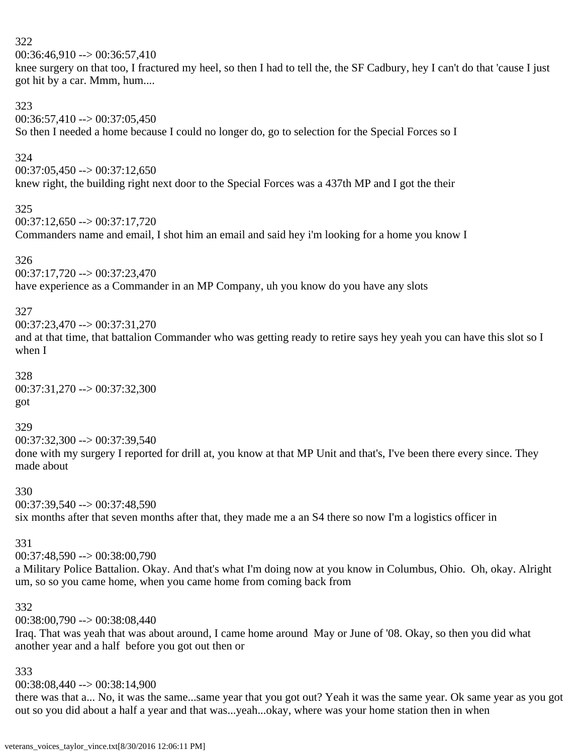$00:36:46.910 \rightarrow 00:36:57.410$ 

knee surgery on that too, I fractured my heel, so then I had to tell the, the SF Cadbury, hey I can't do that 'cause I just got hit by a car. Mmm, hum....

### 323

 $00:36:57,410 \rightarrow 00:37:05,450$ So then I needed a home because I could no longer do, go to selection for the Special Forces so I

# 324

 $00:37:05.450 \rightarrow 00:37:12.650$ knew right, the building right next door to the Special Forces was a 437th MP and I got the their

## 325

 $00:37:12,650 \rightarrow 00:37:17,720$ 

Commanders name and email, I shot him an email and said hey i'm looking for a home you know I

## 326

00:37:17,720 --> 00:37:23,470 have experience as a Commander in an MP Company, uh you know do you have any slots

# 327

00:37:23,470 --> 00:37:31,270

and at that time, that battalion Commander who was getting ready to retire says hey yeah you can have this slot so I when I

## 328

00:37:31,270 --> 00:37:32,300 got

### 329

00:37:32,300 --> 00:37:39,540 done with my surgery I reported for drill at, you know at that MP Unit and that's, I've been there every since. They made about

## 330

00:37:39,540 --> 00:37:48,590

six months after that seven months after that, they made me a an S4 there so now I'm a logistics officer in

## 331

00:37:48,590 --> 00:38:00,790

a Military Police Battalion. Okay. And that's what I'm doing now at you know in Columbus, Ohio. Oh, okay. Alright um, so so you came home, when you came home from coming back from

# 332

00:38:00,790 --> 00:38:08,440

Iraq. That was yeah that was about around, I came home around May or June of '08. Okay, so then you did what another year and a half before you got out then or

## 333

00:38:08,440 --> 00:38:14,900

there was that a... No, it was the same...same year that you got out? Yeah it was the same year. Ok same year as you got out so you did about a half a year and that was...yeah...okay, where was your home station then in when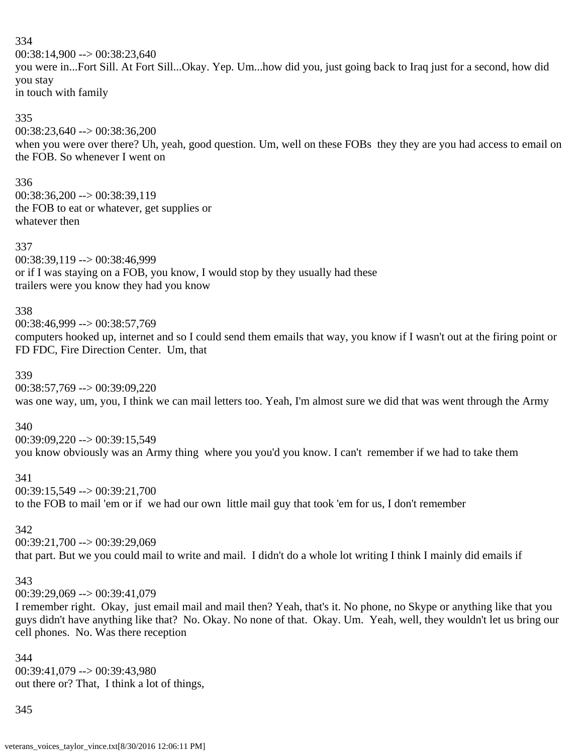$00:38:14,900 \rightarrow 00:38:23,640$ you were in...Fort Sill. At Fort Sill...Okay. Yep. Um...how did you, just going back to Iraq just for a second, how did you stay in touch with family

#### 335

00:38:23,640 --> 00:38:36,200 when you were over there? Uh, yeah, good question. Um, well on these FOBs they they are you had access to email on the FOB. So whenever I went on

### 336

00:38:36,200 --> 00:38:39,119 the FOB to eat or whatever, get supplies or whatever then

#### 337

00:38:39,119 --> 00:38:46,999 or if I was staying on a FOB, you know, I would stop by they usually had these trailers were you know they had you know

### 338

### 00:38:46,999 --> 00:38:57,769

computers hooked up, internet and so I could send them emails that way, you know if I wasn't out at the firing point or FD FDC, Fire Direction Center. Um, that

### 339

00:38:57,769 --> 00:39:09,220 was one way, um, you, I think we can mail letters too. Yeah, I'm almost sure we did that was went through the Army

### 340

00:39:09,220 --> 00:39:15,549 you know obviously was an Army thing where you you'd you know. I can't remember if we had to take them

### 341

00:39:15,549 --> 00:39:21,700 to the FOB to mail 'em or if we had our own little mail guy that took 'em for us, I don't remember

### 342

00:39:21,700 --> 00:39:29,069 that part. But we you could mail to write and mail. I didn't do a whole lot writing I think I mainly did emails if

### 343

 $00:39:29.069 \rightarrow 00:39:41.079$ 

I remember right. Okay, just email mail and mail then? Yeah, that's it. No phone, no Skype or anything like that you guys didn't have anything like that? No. Okay. No none of that. Okay. Um. Yeah, well, they wouldn't let us bring our cell phones. No. Was there reception

344 00:39:41,079 --> 00:39:43,980 out there or? That, I think a lot of things,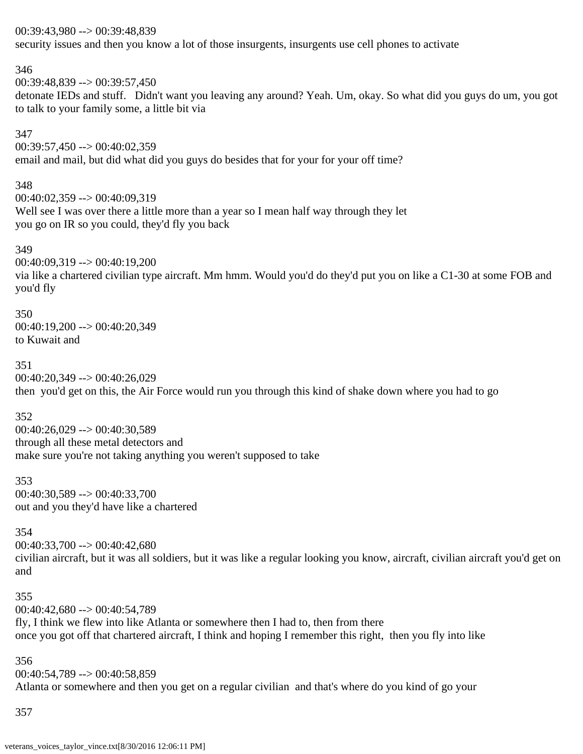00:39:43,980 --> 00:39:48,839 security issues and then you know a lot of those insurgents, insurgents use cell phones to activate

00:39:48,839 --> 00:39:57,450 detonate IEDs and stuff. Didn't want you leaving any around? Yeah. Um, okay. So what did you guys do um, you got to talk to your family some, a little bit via

347 00:39:57,450 --> 00:40:02,359 email and mail, but did what did you guys do besides that for your for your off time?

348 00:40:02,359 --> 00:40:09,319 Well see I was over there a little more than a year so I mean half way through they let you go on IR so you could, they'd fly you back

349 00:40:09,319 --> 00:40:19,200 via like a chartered civilian type aircraft. Mm hmm. Would you'd do they'd put you on like a C1-30 at some FOB and you'd fly

350 00:40:19,200 --> 00:40:20,349 to Kuwait and

346

351 00:40:20,349 --> 00:40:26,029 then you'd get on this, the Air Force would run you through this kind of shake down where you had to go

352 00:40:26,029 --> 00:40:30,589 through all these metal detectors and make sure you're not taking anything you weren't supposed to take

353 00:40:30,589 --> 00:40:33,700 out and you they'd have like a chartered

354  $00:40:33,700 \rightarrow 00:40:42,680$ civilian aircraft, but it was all soldiers, but it was like a regular looking you know, aircraft, civilian aircraft you'd get on and

355 00:40:42,680 --> 00:40:54,789 fly, I think we flew into like Atlanta or somewhere then I had to, then from there once you got off that chartered aircraft, I think and hoping I remember this right, then you fly into like

356 00:40:54,789 --> 00:40:58,859 Atlanta or somewhere and then you get on a regular civilian and that's where do you kind of go your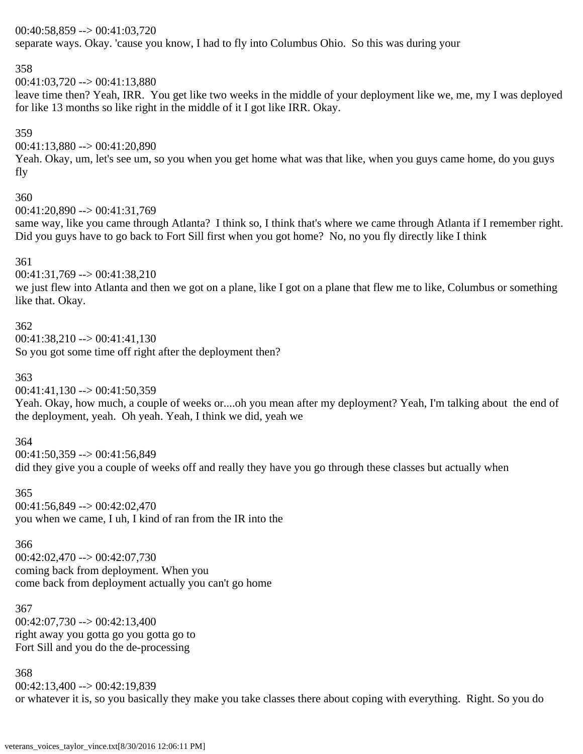### 00:40:58,859 --> 00:41:03,720

separate ways. Okay. 'cause you know, I had to fly into Columbus Ohio. So this was during your

## 358

 $00:41:03,720 \rightarrow 00:41:13,880$ 

leave time then? Yeah, IRR. You get like two weeks in the middle of your deployment like we, me, my I was deployed for like 13 months so like right in the middle of it I got like IRR. Okay.

### 359

00:41:13,880 --> 00:41:20,890

Yeah. Okay, um, let's see um, so you when you get home what was that like, when you guys came home, do you guys fly

### 360

00:41:20,890 --> 00:41:31,769

same way, like you came through Atlanta? I think so, I think that's where we came through Atlanta if I remember right. Did you guys have to go back to Fort Sill first when you got home? No, no you fly directly like I think

### 361

00:41:31,769 --> 00:41:38,210

we just flew into Atlanta and then we got on a plane, like I got on a plane that flew me to like, Columbus or something like that. Okay.

### 362

 $00:41:38,210 \rightarrow 00:41:41,130$ So you got some time off right after the deployment then?

## 363

 $00:41:41,130 \rightarrow 00:41:50,359$ 

Yeah. Okay, how much, a couple of weeks or....oh you mean after my deployment? Yeah, I'm talking about the end of the deployment, yeah. Oh yeah. Yeah, I think we did, yeah we

### 364

00:41:50,359 --> 00:41:56,849 did they give you a couple of weeks off and really they have you go through these classes but actually when

365 00:41:56,849 --> 00:42:02,470 you when we came, I uh, I kind of ran from the IR into the

### 366

 $00:42:02,470 \rightarrow 00:42:07,730$ coming back from deployment. When you come back from deployment actually you can't go home

367  $00:42:07,730 \rightarrow 00:42:13,400$ right away you gotta go you gotta go to Fort Sill and you do the de-processing

368 00:42:13,400 --> 00:42:19,839 or whatever it is, so you basically they make you take classes there about coping with everything. Right. So you do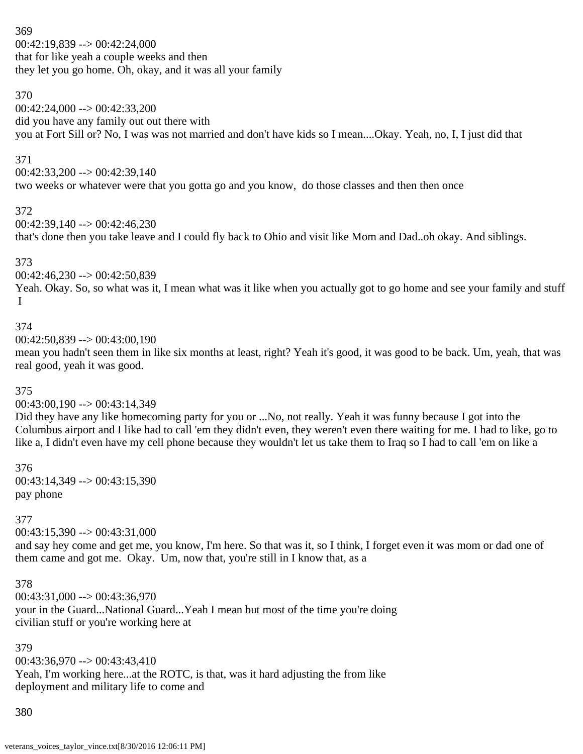369  $00:42:19,839 \rightarrow 00:42:24,000$ that for like yeah a couple weeks and then they let you go home. Oh, okay, and it was all your family

# 370

 $00:42:24,000 \rightarrow 00:42:33,200$ did you have any family out out there with you at Fort Sill or? No, I was was not married and don't have kids so I mean....Okay. Yeah, no, I, I just did that

# 371

 $00:42:33,200 \rightarrow 00:42:39,140$ two weeks or whatever were that you gotta go and you know, do those classes and then then once

## 372

00:42:39,140 --> 00:42:46,230 that's done then you take leave and I could fly back to Ohio and visit like Mom and Dad..oh okay. And siblings.

# 373

00:42:46,230 --> 00:42:50,839 Yeah. Okay. So, so what was it, I mean what was it like when you actually got to go home and see your family and stuff I

# 374

00:42:50,839 --> 00:43:00,190

mean you hadn't seen them in like six months at least, right? Yeah it's good, it was good to be back. Um, yeah, that was real good, yeah it was good.

# 375

00:43:00,190 --> 00:43:14,349

Did they have any like homecoming party for you or ...No, not really. Yeah it was funny because I got into the Columbus airport and I like had to call 'em they didn't even, they weren't even there waiting for me. I had to like, go to like a, I didn't even have my cell phone because they wouldn't let us take them to Iraq so I had to call 'em on like a

376 00:43:14,349 --> 00:43:15,390 pay phone

## 377

 $00:43:15.390 \rightarrow 00:43:31.000$ 

and say hey come and get me, you know, I'm here. So that was it, so I think, I forget even it was mom or dad one of them came and got me. Okay. Um, now that, you're still in I know that, as a

## 378

00:43:31,000 --> 00:43:36,970 your in the Guard...National Guard...Yeah I mean but most of the time you're doing civilian stuff or you're working here at

## 379

 $00:43:36,970 \rightarrow 00:43:43,410$ Yeah, I'm working here...at the ROTC, is that, was it hard adjusting the from like deployment and military life to come and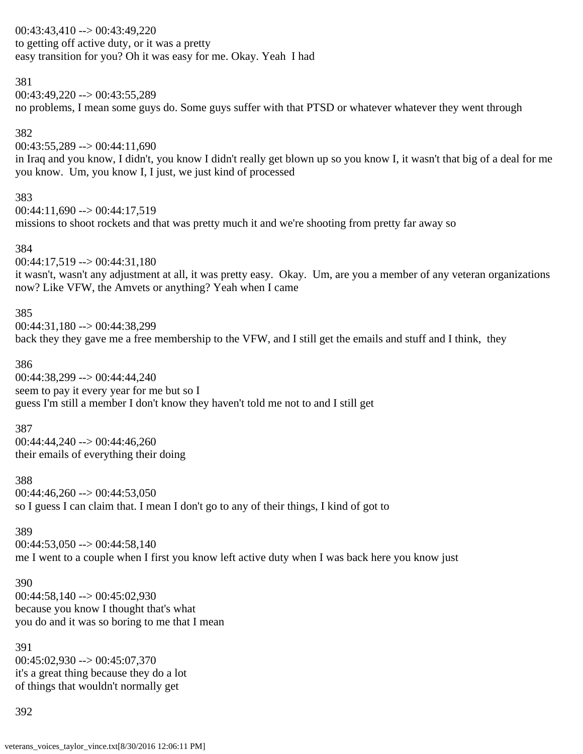00:43:43,410 --> 00:43:49,220 to getting off active duty, or it was a pretty easy transition for you? Oh it was easy for me. Okay. Yeah I had

#### 381

00:43:49,220 --> 00:43:55,289

no problems, I mean some guys do. Some guys suffer with that PTSD or whatever whatever they went through

### 382

 $00:43:55,289 \rightarrow 00:44:11,690$ 

in Iraq and you know, I didn't, you know I didn't really get blown up so you know I, it wasn't that big of a deal for me you know. Um, you know I, I just, we just kind of processed

### 383

 $00:44:11,690 \rightarrow 00:44:17,519$ missions to shoot rockets and that was pretty much it and we're shooting from pretty far away so

### 384

00:44:17,519 --> 00:44:31,180

it wasn't, wasn't any adjustment at all, it was pretty easy. Okay. Um, are you a member of any veteran organizations now? Like VFW, the Amvets or anything? Yeah when I came

### 385

00:44:31,180 --> 00:44:38,299 back they they gave me a free membership to the VFW, and I still get the emails and stuff and I think, they

## 386

00:44:38,299 --> 00:44:44,240 seem to pay it every year for me but so I guess I'm still a member I don't know they haven't told me not to and I still get

### 387

00:44:44,240 --> 00:44:46,260 their emails of everything their doing

## 388

 $00:44:46.260 \rightarrow 00:44:53.050$ so I guess I can claim that. I mean I don't go to any of their things, I kind of got to

## 389

 $00:44:53,050 \rightarrow 00:44:58,140$ me I went to a couple when I first you know left active duty when I was back here you know just

### 390 00:44:58,140 --> 00:45:02,930 because you know I thought that's what you do and it was so boring to me that I mean

## 391

00:45:02,930 --> 00:45:07,370 it's a great thing because they do a lot of things that wouldn't normally get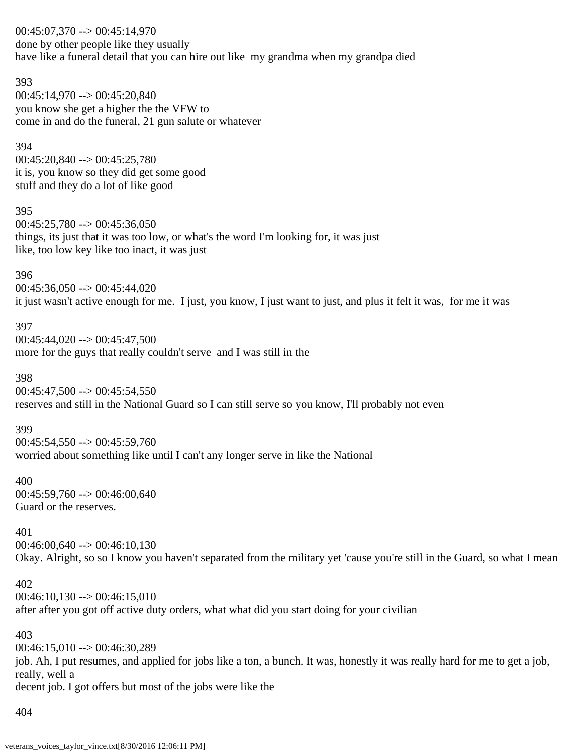00:45:07,370 --> 00:45:14,970 done by other people like they usually have like a funeral detail that you can hire out like my grandma when my grandpa died

#### 393

00:45:14,970 --> 00:45:20,840 you know she get a higher the the VFW to come in and do the funeral, 21 gun salute or whatever

### 394

00:45:20,840 --> 00:45:25,780 it is, you know so they did get some good stuff and they do a lot of like good

#### 395

 $00:45:25,780 \rightarrow 00:45:36,050$ things, its just that it was too low, or what's the word I'm looking for, it was just like, too low key like too inact, it was just

### 396

 $00:45:36,050 \rightarrow 00:45:44,020$ it just wasn't active enough for me. I just, you know, I just want to just, and plus it felt it was, for me it was

### 397

 $00:45:44,020 \rightarrow 00:45:47,500$ more for the guys that really couldn't serve and I was still in the

### 398

 $00:45:47,500 \rightarrow 00:45:54,550$ reserves and still in the National Guard so I can still serve so you know, I'll probably not even

### 399

 $00:45:54,550 \rightarrow 00:45:59,760$ worried about something like until I can't any longer serve in like the National

### 400

00:45:59,760 --> 00:46:00,640 Guard or the reserves.

### 401

 $00:46:00,640 \rightarrow 00:46:10,130$ Okay. Alright, so so I know you haven't separated from the military yet 'cause you're still in the Guard, so what I mean

### 402

 $00:46:10,130 \rightarrow 00:46:15,010$ after after you got off active duty orders, what what did you start doing for your civilian

### 403

 $00:46:15.010 \rightarrow 00:46:30.289$ job. Ah, I put resumes, and applied for jobs like a ton, a bunch. It was, honestly it was really hard for me to get a job, really, well a decent job. I got offers but most of the jobs were like the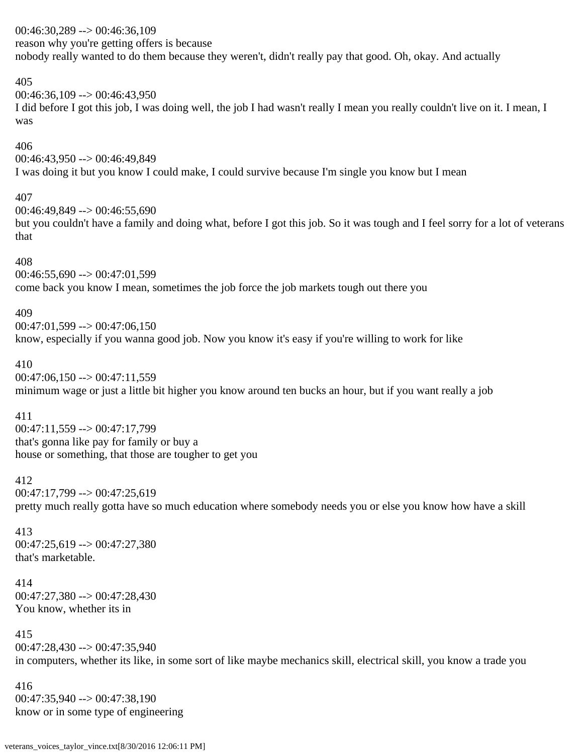# 00:46:30,289 --> 00:46:36,109 reason why you're getting offers is because nobody really wanted to do them because they weren't, didn't really pay that good. Oh, okay. And actually

### 405

 $00:46:36,109 \rightarrow 00:46:43,950$ I did before I got this job, I was doing well, the job I had wasn't really I mean you really couldn't live on it. I mean, I was

### 406

00:46:43,950 --> 00:46:49,849 I was doing it but you know I could make, I could survive because I'm single you know but I mean

## 407

 $00:46:49.849 \rightarrow 00:46:55.690$ but you couldn't have a family and doing what, before I got this job. So it was tough and I feel sorry for a lot of veterans that

### 408

 $00:46:55,690 \rightarrow 00:47:01,599$ come back you know I mean, sometimes the job force the job markets tough out there you

## 409

 $00:47:01.599 \rightarrow 00:47:06.150$ know, especially if you wanna good job. Now you know it's easy if you're willing to work for like

## 410

 $00:47:06,150 \rightarrow 00:47:11,559$ minimum wage or just a little bit higher you know around ten bucks an hour, but if you want really a job

## 411

00:47:11,559 --> 00:47:17,799 that's gonna like pay for family or buy a house or something, that those are tougher to get you

## 412

 $00:47:17.799 \rightarrow 00:47:25.619$ 

pretty much really gotta have so much education where somebody needs you or else you know how have a skill

# 413

00:47:25,619 --> 00:47:27,380 that's marketable.

# 414 00:47:27,380 --> 00:47:28,430 You know, whether its in

415  $00:47:28,430 \rightarrow 00:47:35,940$ in computers, whether its like, in some sort of like maybe mechanics skill, electrical skill, you know a trade you

# 416  $00:47:35,940 \rightarrow 00:47:38,190$ know or in some type of engineering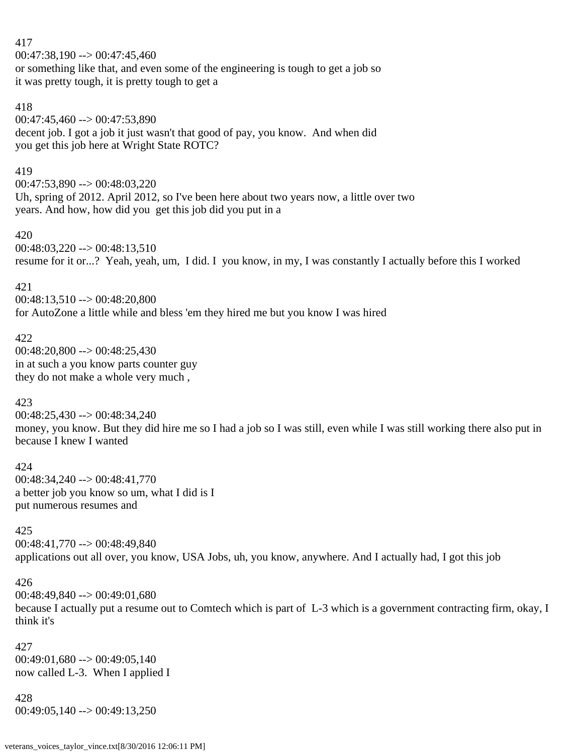$00:47:38,190 \rightarrow 00:47:45,460$ or something like that, and even some of the engineering is tough to get a job so it was pretty tough, it is pretty tough to get a

## 418

417

00:47:45,460 --> 00:47:53,890 decent job. I got a job it just wasn't that good of pay, you know. And when did you get this job here at Wright State ROTC?

## 419

00:47:53,890 --> 00:48:03,220 Uh, spring of 2012. April 2012, so I've been here about two years now, a little over two years. And how, how did you get this job did you put in a

## 420

 $00:48:03.220 \rightarrow 00:48:13.510$ resume for it or...? Yeah, yeah, um, I did. I you know, in my, I was constantly I actually before this I worked

## 421

00:48:13,510 --> 00:48:20,800 for AutoZone a little while and bless 'em they hired me but you know I was hired

### 422

00:48:20,800 --> 00:48:25,430 in at such a you know parts counter guy they do not make a whole very much ,

## 423

00:48:25,430 --> 00:48:34,240 money, you know. But they did hire me so I had a job so I was still, even while I was still working there also put in because I knew I wanted

## 424

 $00:48:34,240 \rightarrow 00:48:41,770$ a better job you know so um, what I did is I put numerous resumes and

## 425

00:48:41,770 --> 00:48:49,840 applications out all over, you know, USA Jobs, uh, you know, anywhere. And I actually had, I got this job

## 426

 $00:48:49,840 \rightarrow 00:49:01,680$ because I actually put a resume out to Comtech which is part of L-3 which is a government contracting firm, okay, I think it's

427  $00:49:01,680 \rightarrow 00:49:05,140$ now called L-3. When I applied I

428  $00:49:05,140 \rightarrow 00:49:13,250$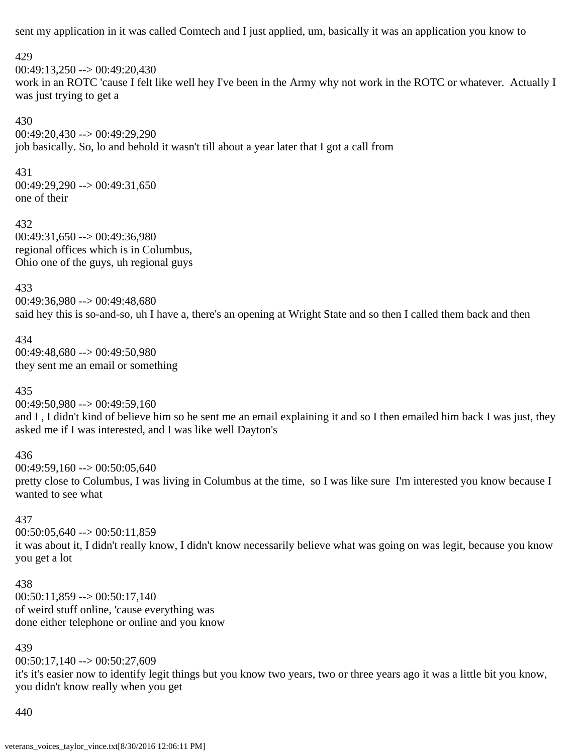sent my application in it was called Comtech and I just applied, um, basically it was an application you know to

### 429

 $00:49:13.250 \rightarrow 00:49:20.430$ 

work in an ROTC 'cause I felt like well hey I've been in the Army why not work in the ROTC or whatever. Actually I was just trying to get a

### 430

00:49:20,430 --> 00:49:29,290 job basically. So, lo and behold it wasn't till about a year later that I got a call from

## 431

 $00:49:29,290 \rightarrow 00:49:31,650$ one of their

# 432

00:49:31,650 --> 00:49:36,980 regional offices which is in Columbus, Ohio one of the guys, uh regional guys

## 433

00:49:36,980 --> 00:49:48,680 said hey this is so-and-so, uh I have a, there's an opening at Wright State and so then I called them back and then

### 434 00:49:48,680 --> 00:49:50,980 they sent me an email or something

# 435

00:49:50,980 --> 00:49:59,160

and I , I didn't kind of believe him so he sent me an email explaining it and so I then emailed him back I was just, they asked me if I was interested, and I was like well Dayton's

# 436

 $00:49:59,160 \rightarrow 00:50:05,640$ pretty close to Columbus, I was living in Columbus at the time, so I was like sure I'm interested you know because I wanted to see what

# 437

 $00:50:05,640 \rightarrow 00:50:11,859$ it was about it, I didn't really know, I didn't know necessarily believe what was going on was legit, because you know you get a lot

## 438

 $00:50:11,859 \rightarrow 00:50:17,140$ of weird stuff online, 'cause everything was done either telephone or online and you know

## 439

00:50:17,140 --> 00:50:27,609

it's it's easier now to identify legit things but you know two years, two or three years ago it was a little bit you know, you didn't know really when you get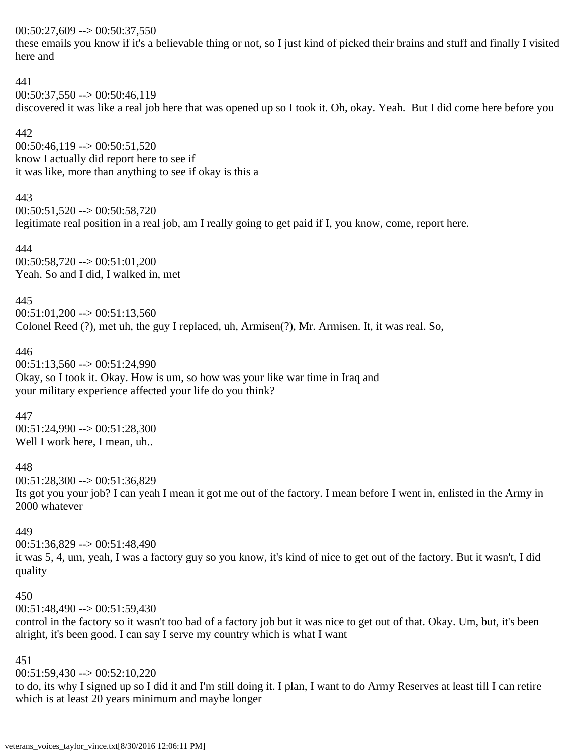### $00:50:27,609 \rightarrow 00:50:37,550$

these emails you know if it's a believable thing or not, so I just kind of picked their brains and stuff and finally I visited here and

## 441

 $00:50:37,550 \rightarrow 00:50:46,119$ discovered it was like a real job here that was opened up so I took it. Oh, okay. Yeah. But I did come here before you

# 442

 $00:50:46,119 \rightarrow 00:50:51,520$ know I actually did report here to see if it was like, more than anything to see if okay is this a

# 443

 $00:50:51.520 \rightarrow 00:50:58.720$ legitimate real position in a real job, am I really going to get paid if I, you know, come, report here.

444 00:50:58,720 --> 00:51:01,200 Yeah. So and I did, I walked in, met

445

 $00:51:01,200 \rightarrow 00:51:13,560$ Colonel Reed (?), met uh, the guy I replaced, uh, Armisen(?), Mr. Armisen. It, it was real. So,

## 446

00:51:13,560 --> 00:51:24,990 Okay, so I took it. Okay. How is um, so how was your like war time in Iraq and your military experience affected your life do you think?

447

00:51:24,990 --> 00:51:28,300 Well I work here, I mean, uh..

448

 $00:51:28,300 \rightarrow 00:51:36,829$ Its got you your job? I can yeah I mean it got me out of the factory. I mean before I went in, enlisted in the Army in 2000 whatever

### 449

00:51:36,829 --> 00:51:48,490 it was 5, 4, um, yeah, I was a factory guy so you know, it's kind of nice to get out of the factory. But it wasn't, I did

## 450

quality

 $00:51:48,490 \rightarrow 00:51:59,430$ 

control in the factory so it wasn't too bad of a factory job but it was nice to get out of that. Okay. Um, but, it's been alright, it's been good. I can say I serve my country which is what I want

# 451

 $00:51:59.430 \rightarrow 00:52:10.220$ 

to do, its why I signed up so I did it and I'm still doing it. I plan, I want to do Army Reserves at least till I can retire which is at least 20 years minimum and maybe longer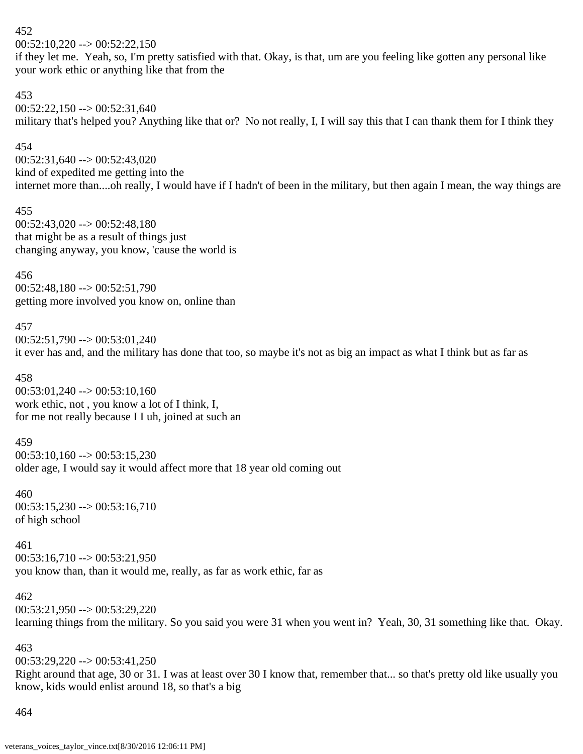$00:52:10,220 \rightarrow 00:52:22,150$ 

if they let me. Yeah, so, I'm pretty satisfied with that. Okay, is that, um are you feeling like gotten any personal like your work ethic or anything like that from the

### 453

 $00:52:22,150 \rightarrow 00:52:31,640$ military that's helped you? Anything like that or? No not really, I, I will say this that I can thank them for I think they

### 454

 $00:52:31,640 \rightarrow 00:52:43,020$ kind of expedited me getting into the internet more than....oh really, I would have if I hadn't of been in the military, but then again I mean, the way things are

### 455

00:52:43,020 --> 00:52:48,180 that might be as a result of things just changing anyway, you know, 'cause the world is

## 456

00:52:48,180 --> 00:52:51,790 getting more involved you know on, online than

## 457

00:52:51,790 --> 00:53:01,240 it ever has and, and the military has done that too, so maybe it's not as big an impact as what I think but as far as

## 458

 $00:53:01,240 \rightarrow 00:53:10,160$ work ethic, not , you know a lot of I think, I, for me not really because I I uh, joined at such an

### 459

 $00:53:10,160 \rightarrow 00:53:15,230$ older age, I would say it would affect more that 18 year old coming out

460  $00:53:15,230 \rightarrow 00:53:16,710$ of high school

461  $00:53:16,710 \rightarrow 00:53:21,950$ you know than, than it would me, really, as far as work ethic, far as

462  $00:53:21.950 \rightarrow 00:53:29.220$ learning things from the military. So you said you were 31 when you went in? Yeah, 30, 31 something like that. Okay.

### 463

 $00:53:29.220 \rightarrow 00:53:41.250$ 

Right around that age, 30 or 31. I was at least over 30 I know that, remember that... so that's pretty old like usually you know, kids would enlist around 18, so that's a big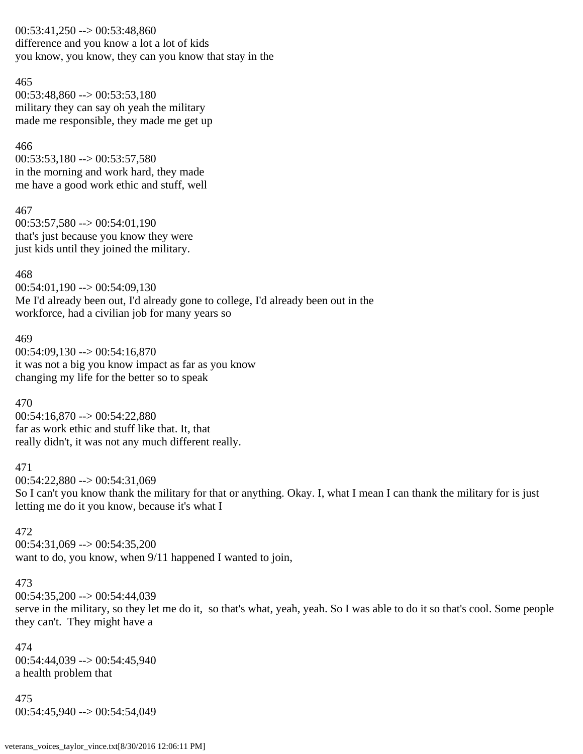$00:53:41,250 \rightarrow 00:53:48,860$ difference and you know a lot a lot of kids you know, you know, they can you know that stay in the

#### 465

00:53:48,860 --> 00:53:53,180 military they can say oh yeah the military made me responsible, they made me get up

#### 466

 $00:53:53,180 \rightarrow 00:53:57,580$ in the morning and work hard, they made me have a good work ethic and stuff, well

#### 467

 $00:53:57,580 \rightarrow 00:54:01,190$ that's just because you know they were just kids until they joined the military.

468  $00:54:01,190 \rightarrow 00:54:09,130$ Me I'd already been out, I'd already gone to college, I'd already been out in the workforce, had a civilian job for many years so

#### 469

 $00:54:09.130 \rightarrow 00:54:16.870$ it was not a big you know impact as far as you know changing my life for the better so to speak

### 470

00:54:16,870 --> 00:54:22,880 far as work ethic and stuff like that. It, that really didn't, it was not any much different really.

### 471

00:54:22,880 --> 00:54:31,069 So I can't you know thank the military for that or anything. Okay. I, what I mean I can thank the military for is just letting me do it you know, because it's what I

### 472

00:54:31,069 --> 00:54:35,200 want to do, you know, when  $9/11$  happened I wanted to join,

### 473

00:54:35,200 --> 00:54:44,039 serve in the military, so they let me do it, so that's what, yeah, yeah. So I was able to do it so that's cool. Some people they can't. They might have a

474  $00:54:44,039 \rightarrow 00:54:45,940$ a health problem that

475 00:54:45,940 --> 00:54:54,049